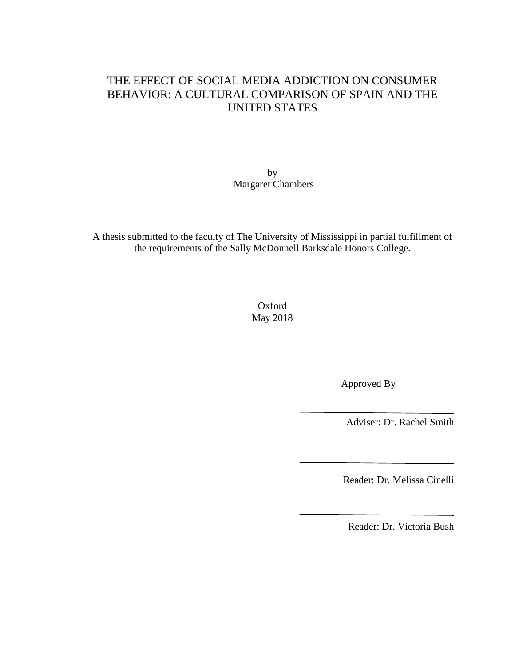# THE EFFECT OF SOCIAL MEDIA ADDICTION ON CONSUMER BEHAVIOR: A CULTURAL COMPARISON OF SPAIN AND THE UNITED STATES

by Margaret Chambers

A thesis submitted to the faculty of The University of Mississippi in partial fulfillment of the requirements of the Sally McDonnell Barksdale Honors College.

> Oxford May 2018

> > Approved By

Adviser: Dr. Rachel Smith

Reader: Dr. Melissa Cinelli

Reader: Dr. Victoria Bush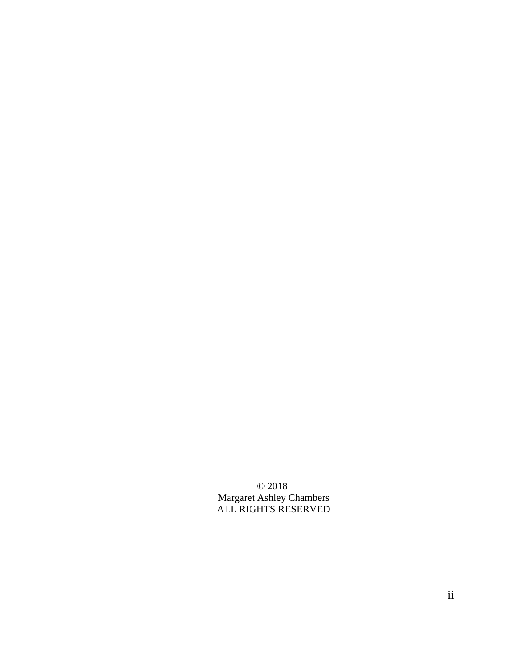© 2018 Margaret Ashley Chambers ALL RIGHTS RESERVED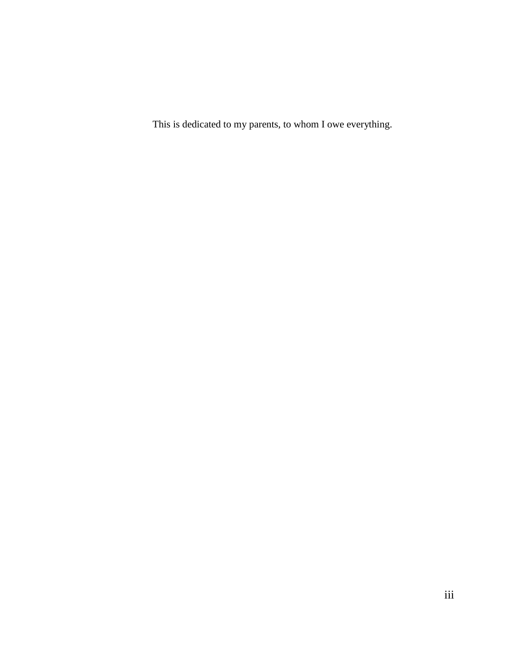This is dedicated to my parents, to whom I owe everything.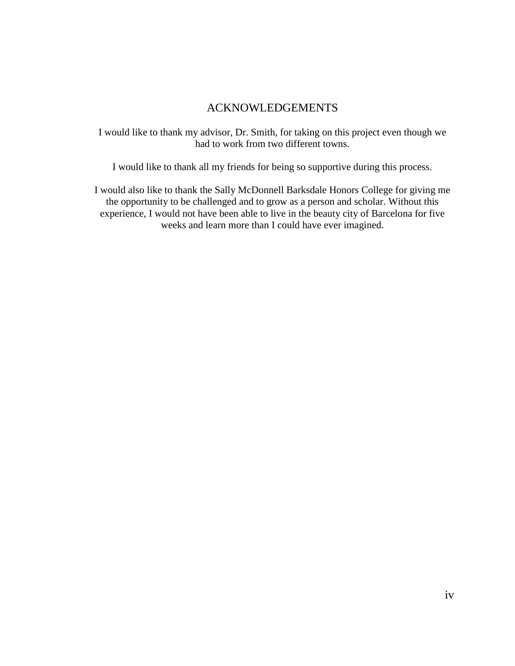# ACKNOWLEDGEMENTS

I would like to thank my advisor, Dr. Smith, for taking on this project even though we had to work from two different towns.

I would like to thank all my friends for being so supportive during this process.

I would also like to thank the Sally McDonnell Barksdale Honors College for giving me the opportunity to be challenged and to grow as a person and scholar. Without this experience, I would not have been able to live in the beauty city of Barcelona for five weeks and learn more than I could have ever imagined.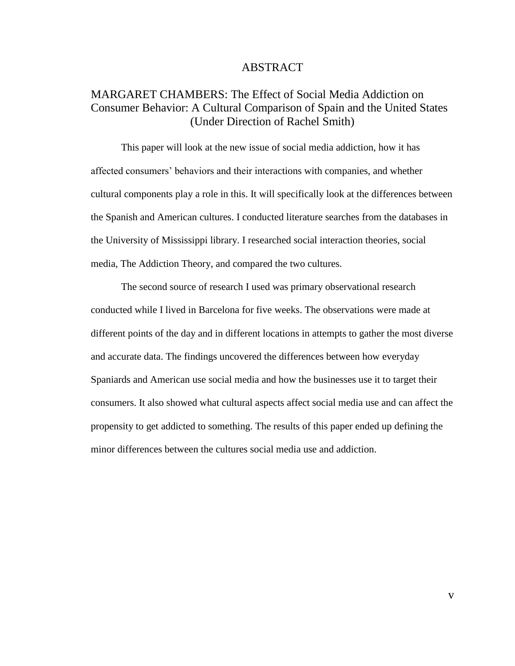#### ABSTRACT

# MARGARET CHAMBERS: The Effect of Social Media Addiction on Consumer Behavior: A Cultural Comparison of Spain and the United States (Under Direction of Rachel Smith)

This paper will look at the new issue of social media addiction, how it has affected consumers' behaviors and their interactions with companies, and whether cultural components play a role in this. It will specifically look at the differences between the Spanish and American cultures. I conducted literature searches from the databases in the University of Mississippi library. I researched social interaction theories, social media, The Addiction Theory, and compared the two cultures.

The second source of research I used was primary observational research conducted while I lived in Barcelona for five weeks. The observations were made at different points of the day and in different locations in attempts to gather the most diverse and accurate data. The findings uncovered the differences between how everyday Spaniards and American use social media and how the businesses use it to target their consumers. It also showed what cultural aspects affect social media use and can affect the propensity to get addicted to something. The results of this paper ended up defining the minor differences between the cultures social media use and addiction.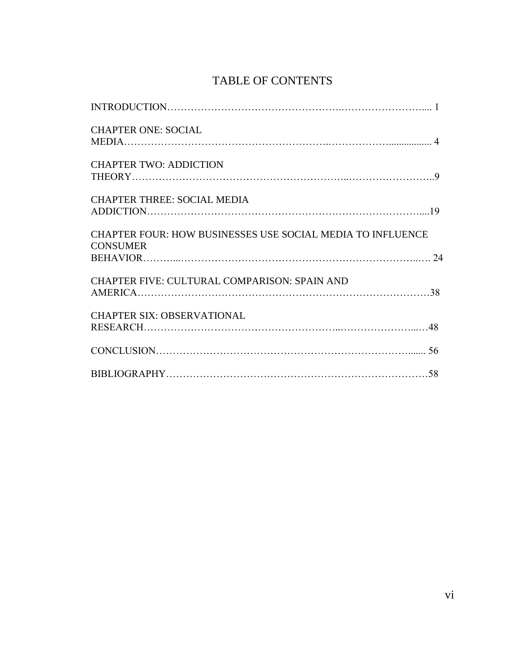# TABLE OF CONTENTS

| <b>CHAPTER ONE: SOCIAL</b>                                                    |
|-------------------------------------------------------------------------------|
| <b>CHAPTER TWO: ADDICTION</b>                                                 |
| <b>CHAPTER THREE: SOCIAL MEDIA</b>                                            |
| CHAPTER FOUR: HOW BUSINESSES USE SOCIAL MEDIA TO INFLUENCE<br><b>CONSUMER</b> |
| <b>CHAPTER FIVE: CULTURAL COMPARISON: SPAIN AND</b>                           |
| <b>CHAPTER SIX: OBSERVATIONAL</b>                                             |
|                                                                               |
|                                                                               |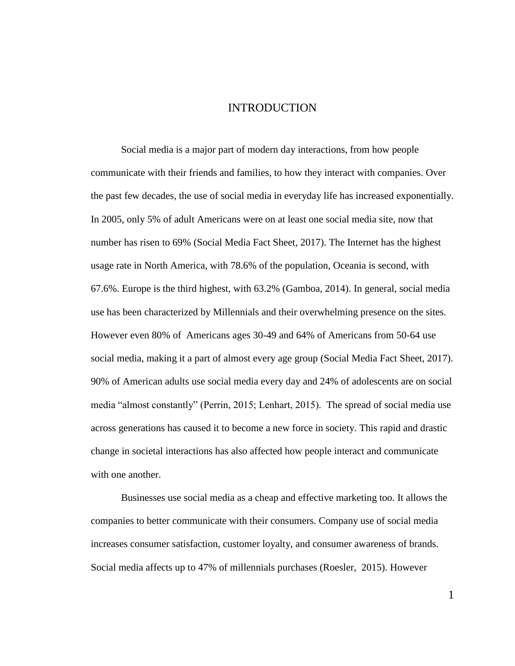# INTRODUCTION

Social media is a major part of modern day interactions, from how people communicate with their friends and families, to how they interact with companies. Over the past few decades, the use of social media in everyday life has increased exponentially. In 2005, only 5% of adult Americans were on at least one social media site, now that number has risen to 69% (Social Media Fact Sheet, 2017). The Internet has the highest usage rate in North America, with 78.6% of the population, Oceania is second, with 67.6%. Europe is the third highest, with 63.2% (Gamboa, 2014). In general, social media use has been characterized by Millennials and their overwhelming presence on the sites. However even 80% of Americans ages 30-49 and 64% of Americans from 50-64 use social media, making it a part of almost every age group (Social Media Fact Sheet, 2017). 90% of American adults use social media every day and 24% of adolescents are on social media "almost constantly" (Perrin, 2015; Lenhart, 2015). The spread of social media use across generations has caused it to become a new force in society. This rapid and drastic change in societal interactions has also affected how people interact and communicate with one another.

Businesses use social media as a cheap and effective marketing too. It allows the companies to better communicate with their consumers. Company use of social media increases consumer satisfaction, customer loyalty, and consumer awareness of brands. Social media affects up to 47% of millennials purchases (Roesler, 2015). However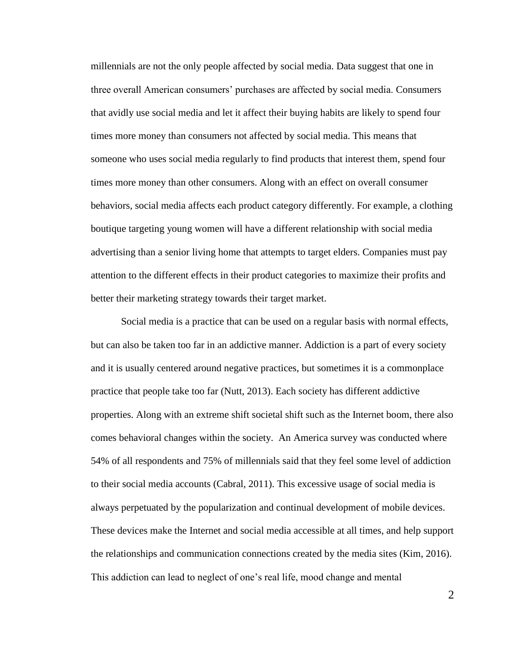millennials are not the only people affected by social media. Data suggest that one in three overall American consumers' purchases are affected by social media. Consumers that avidly use social media and let it affect their buying habits are likely to spend four times more money than consumers not affected by social media. This means that someone who uses social media regularly to find products that interest them, spend four times more money than other consumers. Along with an effect on overall consumer behaviors, social media affects each product category differently. For example, a clothing boutique targeting young women will have a different relationship with social media advertising than a senior living home that attempts to target elders. Companies must pay attention to the different effects in their product categories to maximize their profits and better their marketing strategy towards their target market.

Social media is a practice that can be used on a regular basis with normal effects, but can also be taken too far in an addictive manner. Addiction is a part of every society and it is usually centered around negative practices, but sometimes it is a commonplace practice that people take too far (Nutt, 2013). Each society has different addictive properties. Along with an extreme shift societal shift such as the Internet boom, there also comes behavioral changes within the society. An America survey was conducted where 54% of all respondents and 75% of millennials said that they feel some level of addiction to their social media accounts (Cabral, 2011). This excessive usage of social media is always perpetuated by the popularization and continual development of mobile devices. These devices make the Internet and social media accessible at all times, and help support the relationships and communication connections created by the media sites (Kim, 2016). This addiction can lead to neglect of one's real life, mood change and mental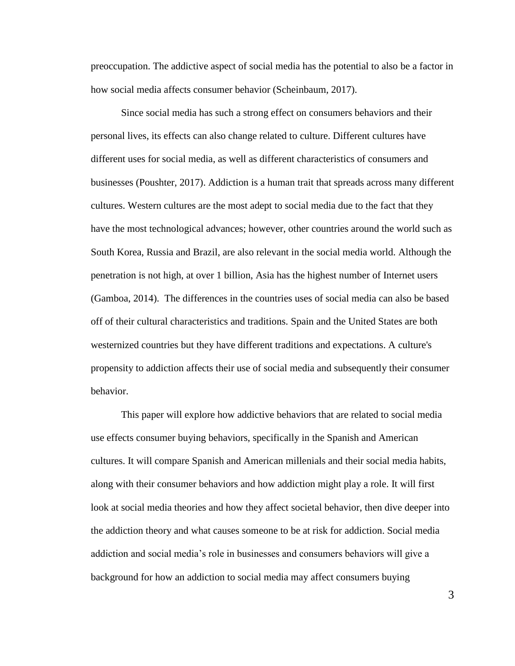preoccupation. The addictive aspect of social media has the potential to also be a factor in how social media affects consumer behavior (Scheinbaum, 2017).

Since social media has such a strong effect on consumers behaviors and their personal lives, its effects can also change related to culture. Different cultures have different uses for social media, as well as different characteristics of consumers and businesses (Poushter, 2017). Addiction is a human trait that spreads across many different cultures. Western cultures are the most adept to social media due to the fact that they have the most technological advances; however, other countries around the world such as South Korea, Russia and Brazil, are also relevant in the social media world. Although the penetration is not high, at over 1 billion, Asia has the highest number of Internet users (Gamboa, 2014). The differences in the countries uses of social media can also be based off of their cultural characteristics and traditions. Spain and the United States are both westernized countries but they have different traditions and expectations. A culture's propensity to addiction affects their use of social media and subsequently their consumer behavior.

This paper will explore how addictive behaviors that are related to social media use effects consumer buying behaviors, specifically in the Spanish and American cultures. It will compare Spanish and American millenials and their social media habits, along with their consumer behaviors and how addiction might play a role. It will first look at social media theories and how they affect societal behavior, then dive deeper into the addiction theory and what causes someone to be at risk for addiction. Social media addiction and social media's role in businesses and consumers behaviors will give a background for how an addiction to social media may affect consumers buying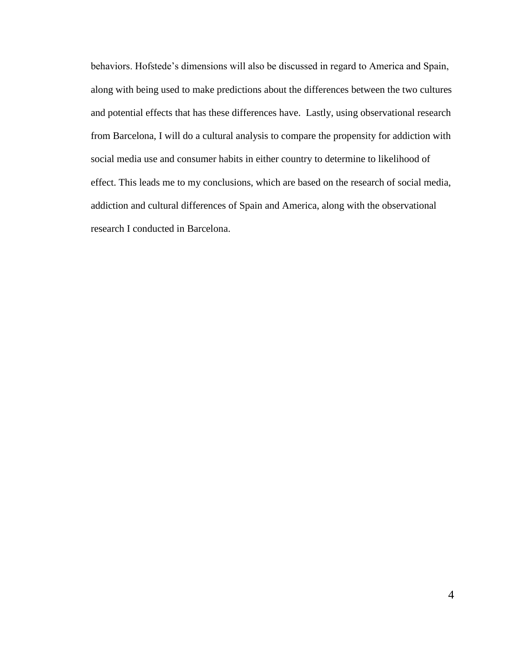behaviors. Hofstede's dimensions will also be discussed in regard to America and Spain, along with being used to make predictions about the differences between the two cultures and potential effects that has these differences have. Lastly, using observational research from Barcelona, I will do a cultural analysis to compare the propensity for addiction with social media use and consumer habits in either country to determine to likelihood of effect. This leads me to my conclusions, which are based on the research of social media, addiction and cultural differences of Spain and America, along with the observational research I conducted in Barcelona.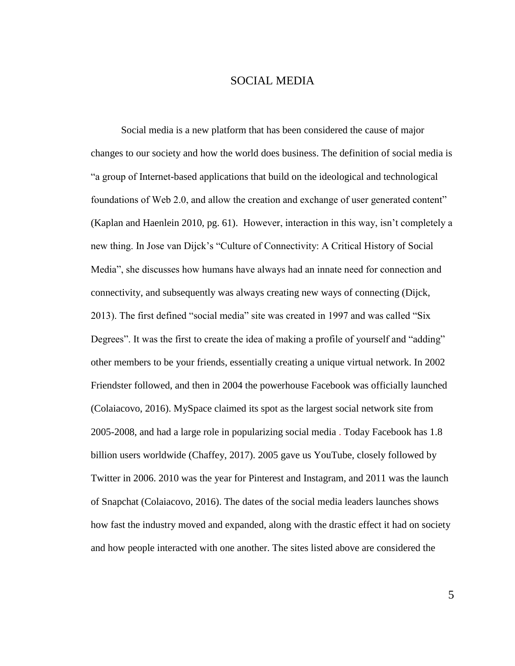# SOCIAL MEDIA

Social media is a new platform that has been considered the cause of major changes to our society and how the world does business. The definition of social media is "a group of Internet-based applications that build on the ideological and technological foundations of Web 2.0, and allow the creation and exchange of user generated content" (Kaplan and Haenlein 2010, pg. 61). However, interaction in this way, isn't completely a new thing. In Jose van Dijck's "Culture of Connectivity: A Critical History of Social Media", she discusses how humans have always had an innate need for connection and connectivity, and subsequently was always creating new ways of connecting (Dijck, 2013). The first defined "social media" site was created in 1997 and was called "Six Degrees". It was the first to create the idea of making a profile of yourself and "adding" other members to be your friends, essentially creating a unique virtual network. In 2002 Friendster followed, and then in 2004 the powerhouse Facebook was officially launched (Colaiacovo, 2016). MySpace claimed its spot as the largest social network site from 2005-2008, and had a large role in popularizing social media . Today Facebook has 1.8 billion users worldwide (Chaffey, 2017). 2005 gave us YouTube, closely followed by Twitter in 2006. 2010 was the year for Pinterest and Instagram, and 2011 was the launch of Snapchat (Colaiacovo, 2016). The dates of the social media leaders launches shows how fast the industry moved and expanded, along with the drastic effect it had on society and how people interacted with one another. The sites listed above are considered the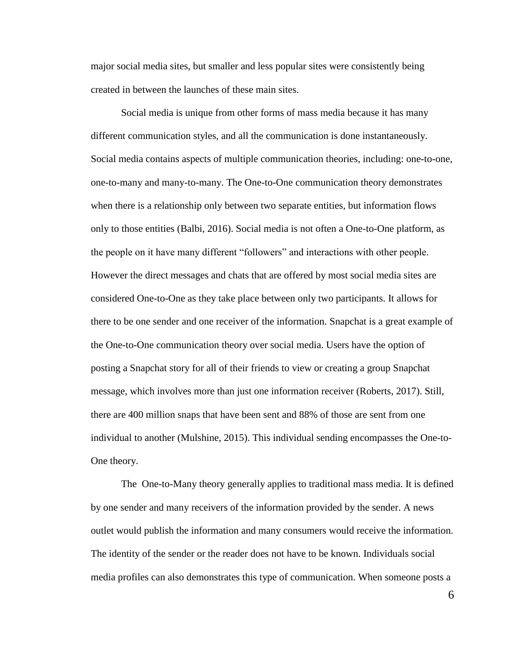major social media sites, but smaller and less popular sites were consistently being created in between the launches of these main sites.

Social media is unique from other forms of mass media because it has many different communication styles, and all the communication is done instantaneously. Social media contains aspects of multiple communication theories, including: one-to-one, one-to-many and many-to-many. The One-to-One communication theory demonstrates when there is a relationship only between two separate entities, but information flows only to those entities (Balbi, 2016). Social media is not often a One-to-One platform, as the people on it have many different "followers" and interactions with other people. However the direct messages and chats that are offered by most social media sites are considered One-to-One as they take place between only two participants. It allows for there to be one sender and one receiver of the information. Snapchat is a great example of the One-to-One communication theory over social media. Users have the option of posting a Snapchat story for all of their friends to view or creating a group Snapchat message, which involves more than just one information receiver (Roberts, 2017). Still, there are 400 million snaps that have been sent and 88% of those are sent from one individual to another (Mulshine, 2015). This individual sending encompasses the One-to-One theory.

The One-to-Many theory generally applies to traditional mass media. It is defined by one sender and many receivers of the information provided by the sender. A news outlet would publish the information and many consumers would receive the information. The identity of the sender or the reader does not have to be known. Individuals social media profiles can also demonstrates this type of communication. When someone posts a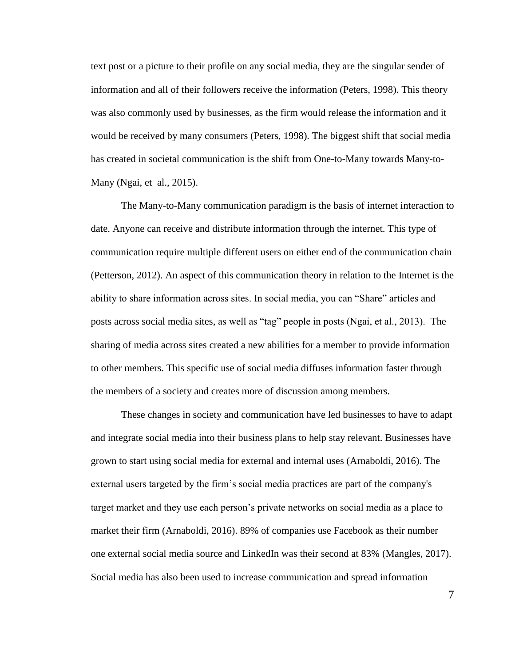text post or a picture to their profile on any social media, they are the singular sender of information and all of their followers receive the information (Peters, 1998). This theory was also commonly used by businesses, as the firm would release the information and it would be received by many consumers (Peters, 1998). The biggest shift that social media has created in societal communication is the shift from One-to-Many towards Many-to-Many (Ngai, et al., 2015).

The Many-to-Many communication paradigm is the basis of internet interaction to date. Anyone can receive and distribute information through the internet. This type of communication require multiple different users on either end of the communication chain (Petterson, 2012). An aspect of this communication theory in relation to the Internet is the ability to share information across sites. In social media, you can "Share" articles and posts across social media sites, as well as "tag" people in posts (Ngai, et al., 2013). The sharing of media across sites created a new abilities for a member to provide information to other members. This specific use of social media diffuses information faster through the members of a society and creates more of discussion among members.

These changes in society and communication have led businesses to have to adapt and integrate social media into their business plans to help stay relevant. Businesses have grown to start using social media for external and internal uses (Arnaboldi, 2016). The external users targeted by the firm's social media practices are part of the company's target market and they use each person's private networks on social media as a place to market their firm (Arnaboldi, 2016). 89% of companies use Facebook as their number one external social media source and LinkedIn was their second at 83% (Mangles, 2017). Social media has also been used to increase communication and spread information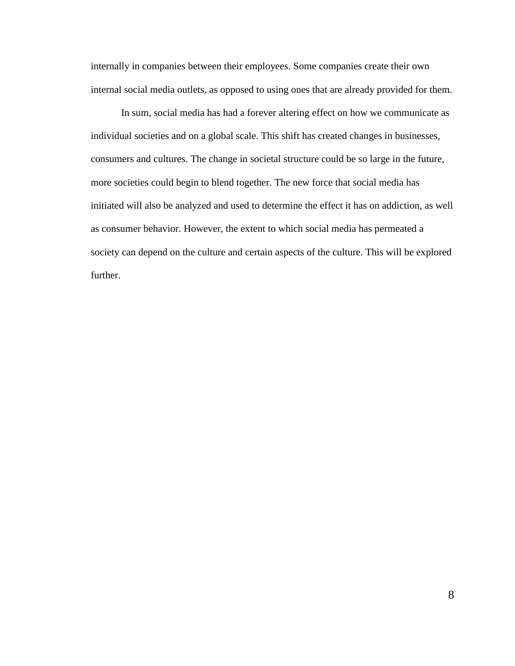internally in companies between their employees. Some companies create their own internal social media outlets, as opposed to using ones that are already provided for them.

In sum, social media has had a forever altering effect on how we communicate as individual societies and on a global scale. This shift has created changes in businesses, consumers and cultures. The change in societal structure could be so large in the future, more societies could begin to blend together. The new force that social media has initiated will also be analyzed and used to determine the effect it has on addiction, as well as consumer behavior. However, the extent to which social media has permeated a society can depend on the culture and certain aspects of the culture. This will be explored further.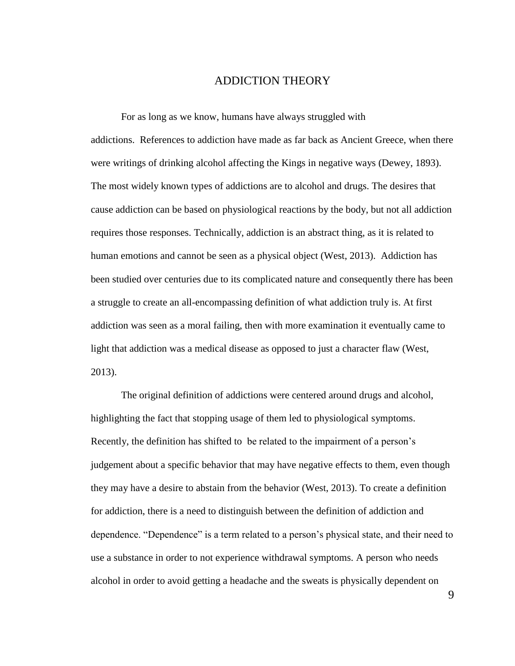## ADDICTION THEORY

For as long as we know, humans have always struggled with addictions. References to addiction have made as far back as Ancient Greece, when there were writings of drinking alcohol affecting the Kings in negative ways (Dewey, 1893). The most widely known types of addictions are to alcohol and drugs. The desires that cause addiction can be based on physiological reactions by the body, but not all addiction requires those responses. Technically, addiction is an abstract thing, as it is related to human emotions and cannot be seen as a physical object (West, 2013). Addiction has been studied over centuries due to its complicated nature and consequently there has been a struggle to create an all-encompassing definition of what addiction truly is. At first addiction was seen as a moral failing, then with more examination it eventually came to light that addiction was a medical disease as opposed to just a character flaw (West, 2013).

The original definition of addictions were centered around drugs and alcohol, highlighting the fact that stopping usage of them led to physiological symptoms. Recently, the definition has shifted to be related to the impairment of a person's judgement about a specific behavior that may have negative effects to them, even though they may have a desire to abstain from the behavior (West, 2013). To create a definition for addiction, there is a need to distinguish between the definition of addiction and dependence. "Dependence" is a term related to a person's physical state, and their need to use a substance in order to not experience withdrawal symptoms. A person who needs alcohol in order to avoid getting a headache and the sweats is physically dependent on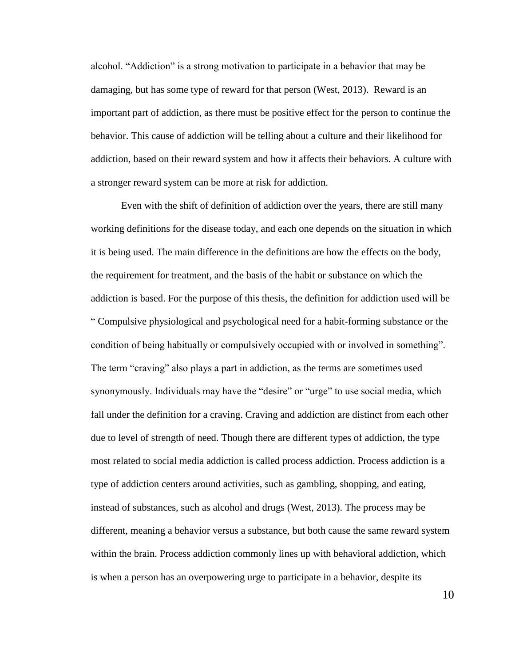alcohol. "Addiction" is a strong motivation to participate in a behavior that may be damaging, but has some type of reward for that person (West, 2013). Reward is an important part of addiction, as there must be positive effect for the person to continue the behavior. This cause of addiction will be telling about a culture and their likelihood for addiction, based on their reward system and how it affects their behaviors. A culture with a stronger reward system can be more at risk for addiction.

Even with the shift of definition of addiction over the years, there are still many working definitions for the disease today, and each one depends on the situation in which it is being used. The main difference in the definitions are how the effects on the body, the requirement for treatment, and the basis of the habit or substance on which the addiction is based. For the purpose of this thesis, the definition for addiction used will be " Compulsive physiological and psychological need for a habit-forming substance or the condition of being habitually or compulsively occupied with or involved in something". The term "craving" also plays a part in addiction, as the terms are sometimes used synonymously. Individuals may have the "desire" or "urge" to use social media, which fall under the definition for a craving. Craving and addiction are distinct from each other due to level of strength of need. Though there are different types of addiction, the type most related to social media addiction is called process addiction. Process addiction is a type of addiction centers around activities, such as gambling, shopping, and eating, instead of substances, such as alcohol and drugs (West, 2013). The process may be different, meaning a behavior versus a substance, but both cause the same reward system within the brain. Process addiction commonly lines up with behavioral addiction, which is when a person has an overpowering urge to participate in a behavior, despite its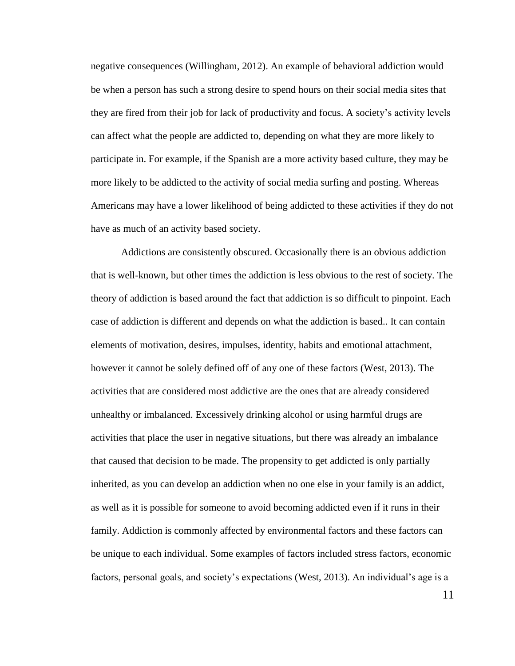negative consequences (Willingham, 2012). An example of behavioral addiction would be when a person has such a strong desire to spend hours on their social media sites that they are fired from their job for lack of productivity and focus. A society's activity levels can affect what the people are addicted to, depending on what they are more likely to participate in. For example, if the Spanish are a more activity based culture, they may be more likely to be addicted to the activity of social media surfing and posting. Whereas Americans may have a lower likelihood of being addicted to these activities if they do not have as much of an activity based society.

Addictions are consistently obscured. Occasionally there is an obvious addiction that is well-known, but other times the addiction is less obvious to the rest of society. The theory of addiction is based around the fact that addiction is so difficult to pinpoint. Each case of addiction is different and depends on what the addiction is based.. It can contain elements of motivation, desires, impulses, identity, habits and emotional attachment, however it cannot be solely defined off of any one of these factors (West, 2013). The activities that are considered most addictive are the ones that are already considered unhealthy or imbalanced. Excessively drinking alcohol or using harmful drugs are activities that place the user in negative situations, but there was already an imbalance that caused that decision to be made. The propensity to get addicted is only partially inherited, as you can develop an addiction when no one else in your family is an addict, as well as it is possible for someone to avoid becoming addicted even if it runs in their family. Addiction is commonly affected by environmental factors and these factors can be unique to each individual. Some examples of factors included stress factors, economic factors, personal goals, and society's expectations (West, 2013). An individual's age is a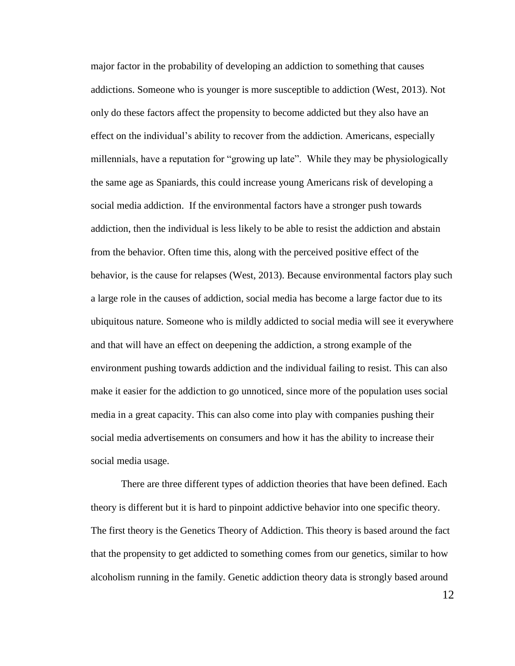major factor in the probability of developing an addiction to something that causes addictions. Someone who is younger is more susceptible to addiction (West, 2013). Not only do these factors affect the propensity to become addicted but they also have an effect on the individual's ability to recover from the addiction. Americans, especially millennials, have a reputation for "growing up late". While they may be physiologically the same age as Spaniards, this could increase young Americans risk of developing a social media addiction. If the environmental factors have a stronger push towards addiction, then the individual is less likely to be able to resist the addiction and abstain from the behavior. Often time this, along with the perceived positive effect of the behavior, is the cause for relapses (West, 2013). Because environmental factors play such a large role in the causes of addiction, social media has become a large factor due to its ubiquitous nature. Someone who is mildly addicted to social media will see it everywhere and that will have an effect on deepening the addiction, a strong example of the environment pushing towards addiction and the individual failing to resist. This can also make it easier for the addiction to go unnoticed, since more of the population uses social media in a great capacity. This can also come into play with companies pushing their social media advertisements on consumers and how it has the ability to increase their social media usage.

There are three different types of addiction theories that have been defined. Each theory is different but it is hard to pinpoint addictive behavior into one specific theory. The first theory is the Genetics Theory of Addiction. This theory is based around the fact that the propensity to get addicted to something comes from our genetics, similar to how alcoholism running in the family. Genetic addiction theory data is strongly based around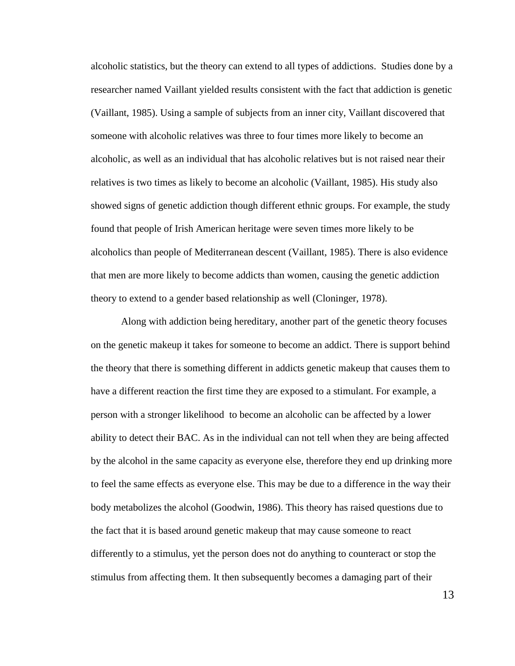alcoholic statistics, but the theory can extend to all types of addictions. Studies done by a researcher named Vaillant yielded results consistent with the fact that addiction is genetic (Vaillant, 1985). Using a sample of subjects from an inner city, Vaillant discovered that someone with alcoholic relatives was three to four times more likely to become an alcoholic, as well as an individual that has alcoholic relatives but is not raised near their relatives is two times as likely to become an alcoholic (Vaillant, 1985). His study also showed signs of genetic addiction though different ethnic groups. For example, the study found that people of Irish American heritage were seven times more likely to be alcoholics than people of Mediterranean descent (Vaillant, 1985). There is also evidence that men are more likely to become addicts than women, causing the genetic addiction theory to extend to a gender based relationship as well (Cloninger, 1978).

Along with addiction being hereditary, another part of the genetic theory focuses on the genetic makeup it takes for someone to become an addict. There is support behind the theory that there is something different in addicts genetic makeup that causes them to have a different reaction the first time they are exposed to a stimulant. For example, a person with a stronger likelihood to become an alcoholic can be affected by a lower ability to detect their BAC. As in the individual can not tell when they are being affected by the alcohol in the same capacity as everyone else, therefore they end up drinking more to feel the same effects as everyone else. This may be due to a difference in the way their body metabolizes the alcohol (Goodwin, 1986). This theory has raised questions due to the fact that it is based around genetic makeup that may cause someone to react differently to a stimulus, yet the person does not do anything to counteract or stop the stimulus from affecting them. It then subsequently becomes a damaging part of their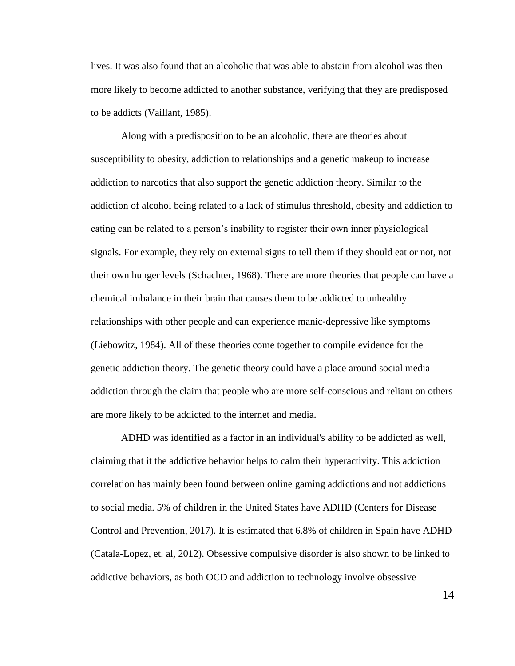lives. It was also found that an alcoholic that was able to abstain from alcohol was then more likely to become addicted to another substance, verifying that they are predisposed to be addicts (Vaillant, 1985).

Along with a predisposition to be an alcoholic, there are theories about susceptibility to obesity, addiction to relationships and a genetic makeup to increase addiction to narcotics that also support the genetic addiction theory. Similar to the addiction of alcohol being related to a lack of stimulus threshold, obesity and addiction to eating can be related to a person's inability to register their own inner physiological signals. For example, they rely on external signs to tell them if they should eat or not, not their own hunger levels (Schachter, 1968). There are more theories that people can have a chemical imbalance in their brain that causes them to be addicted to unhealthy relationships with other people and can experience manic-depressive like symptoms (Liebowitz, 1984). All of these theories come together to compile evidence for the genetic addiction theory. The genetic theory could have a place around social media addiction through the claim that people who are more self-conscious and reliant on others are more likely to be addicted to the internet and media.

ADHD was identified as a factor in an individual's ability to be addicted as well, claiming that it the addictive behavior helps to calm their hyperactivity. This addiction correlation has mainly been found between online gaming addictions and not addictions to social media. 5% of children in the United States have ADHD (Centers for Disease Control and Prevention, 2017). It is estimated that 6.8% of children in Spain have ADHD (Catala-Lopez, et. al, 2012). Obsessive compulsive disorder is also shown to be linked to addictive behaviors, as both OCD and addiction to technology involve obsessive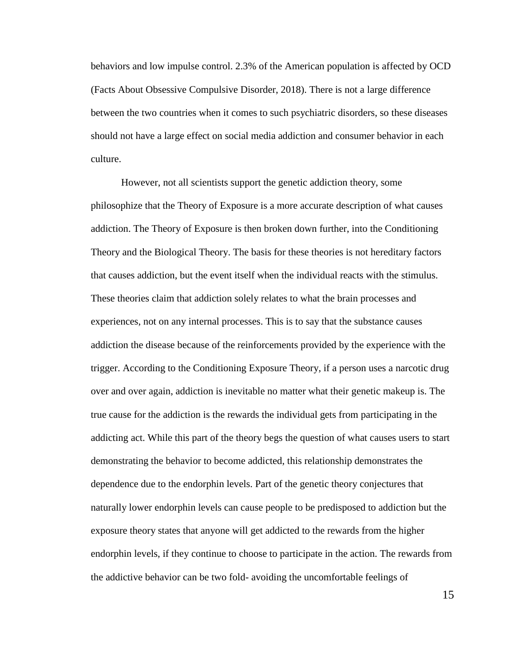behaviors and low impulse control. 2.3% of the American population is affected by OCD (Facts About Obsessive Compulsive Disorder, 2018). There is not a large difference between the two countries when it comes to such psychiatric disorders, so these diseases should not have a large effect on social media addiction and consumer behavior in each culture.

However, not all scientists support the genetic addiction theory, some philosophize that the Theory of Exposure is a more accurate description of what causes addiction. The Theory of Exposure is then broken down further, into the Conditioning Theory and the Biological Theory. The basis for these theories is not hereditary factors that causes addiction, but the event itself when the individual reacts with the stimulus. These theories claim that addiction solely relates to what the brain processes and experiences, not on any internal processes. This is to say that the substance causes addiction the disease because of the reinforcements provided by the experience with the trigger. According to the Conditioning Exposure Theory, if a person uses a narcotic drug over and over again, addiction is inevitable no matter what their genetic makeup is. The true cause for the addiction is the rewards the individual gets from participating in the addicting act. While this part of the theory begs the question of what causes users to start demonstrating the behavior to become addicted, this relationship demonstrates the dependence due to the endorphin levels. Part of the genetic theory conjectures that naturally lower endorphin levels can cause people to be predisposed to addiction but the exposure theory states that anyone will get addicted to the rewards from the higher endorphin levels, if they continue to choose to participate in the action. The rewards from the addictive behavior can be two fold- avoiding the uncomfortable feelings of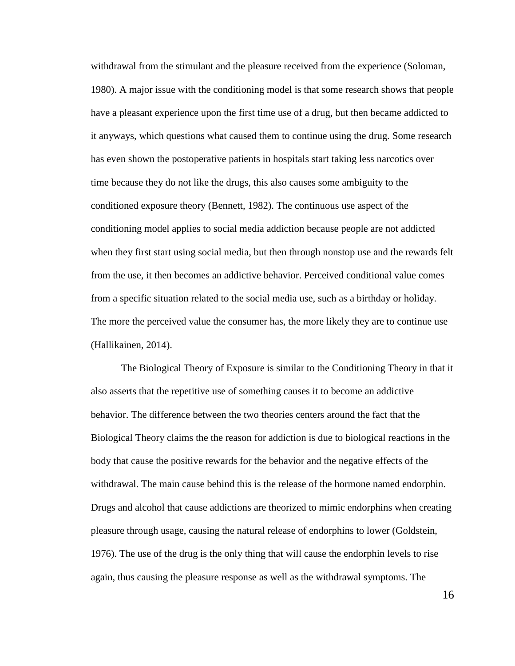withdrawal from the stimulant and the pleasure received from the experience (Soloman, 1980). A major issue with the conditioning model is that some research shows that people have a pleasant experience upon the first time use of a drug, but then became addicted to it anyways, which questions what caused them to continue using the drug. Some research has even shown the postoperative patients in hospitals start taking less narcotics over time because they do not like the drugs, this also causes some ambiguity to the conditioned exposure theory (Bennett, 1982). The continuous use aspect of the conditioning model applies to social media addiction because people are not addicted when they first start using social media, but then through nonstop use and the rewards felt from the use, it then becomes an addictive behavior. Perceived conditional value comes from a specific situation related to the social media use, such as a birthday or holiday. The more the perceived value the consumer has, the more likely they are to continue use (Hallikainen, 2014).

The Biological Theory of Exposure is similar to the Conditioning Theory in that it also asserts that the repetitive use of something causes it to become an addictive behavior. The difference between the two theories centers around the fact that the Biological Theory claims the the reason for addiction is due to biological reactions in the body that cause the positive rewards for the behavior and the negative effects of the withdrawal. The main cause behind this is the release of the hormone named endorphin. Drugs and alcohol that cause addictions are theorized to mimic endorphins when creating pleasure through usage, causing the natural release of endorphins to lower (Goldstein, 1976). The use of the drug is the only thing that will cause the endorphin levels to rise again, thus causing the pleasure response as well as the withdrawal symptoms. The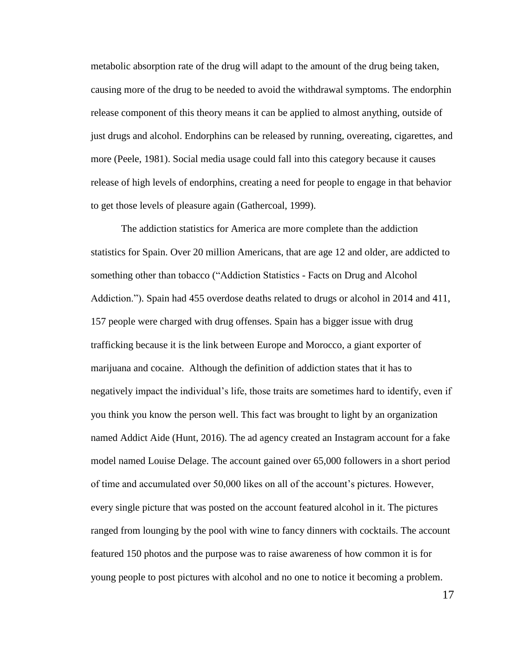metabolic absorption rate of the drug will adapt to the amount of the drug being taken, causing more of the drug to be needed to avoid the withdrawal symptoms. The endorphin release component of this theory means it can be applied to almost anything, outside of just drugs and alcohol. Endorphins can be released by running, overeating, cigarettes, and more (Peele, 1981). Social media usage could fall into this category because it causes release of high levels of endorphins, creating a need for people to engage in that behavior to get those levels of pleasure again (Gathercoal, 1999).

The addiction statistics for America are more complete than the addiction statistics for Spain. Over 20 million Americans, that are age 12 and older, are addicted to something other than tobacco ("Addiction Statistics - Facts on Drug and Alcohol Addiction."). Spain had 455 overdose deaths related to drugs or alcohol in 2014 and 411, 157 people were charged with drug offenses. Spain has a bigger issue with drug trafficking because it is the link between Europe and Morocco, a giant exporter of marijuana and cocaine. Although the definition of addiction states that it has to negatively impact the individual's life, those traits are sometimes hard to identify, even if you think you know the person well. This fact was brought to light by an organization named Addict Aide (Hunt, 2016). The ad agency created an Instagram account for a fake model named Louise Delage. The account gained over 65,000 followers in a short period of time and accumulated over 50,000 likes on all of the account's pictures. However, every single picture that was posted on the account featured alcohol in it. The pictures ranged from lounging by the pool with wine to fancy dinners with cocktails. The account featured 150 photos and the purpose was to raise awareness of how common it is for young people to post pictures with alcohol and no one to notice it becoming a problem.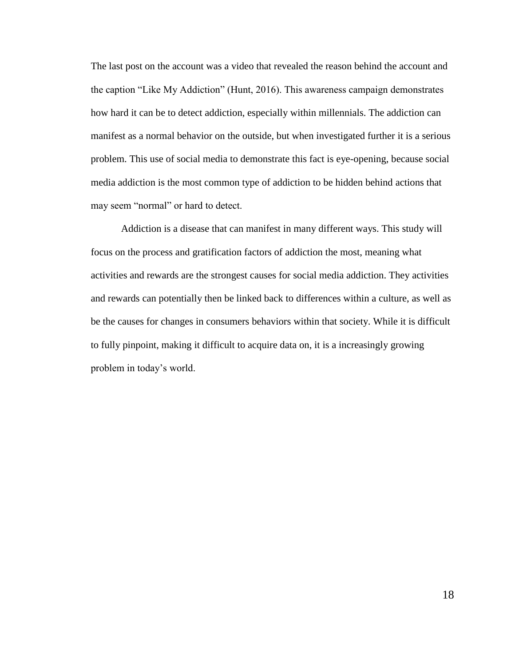The last post on the account was a video that revealed the reason behind the account and the caption "Like My Addiction" (Hunt, 2016). This awareness campaign demonstrates how hard it can be to detect addiction, especially within millennials. The addiction can manifest as a normal behavior on the outside, but when investigated further it is a serious problem. This use of social media to demonstrate this fact is eye-opening, because social media addiction is the most common type of addiction to be hidden behind actions that may seem "normal" or hard to detect.

Addiction is a disease that can manifest in many different ways. This study will focus on the process and gratification factors of addiction the most, meaning what activities and rewards are the strongest causes for social media addiction. They activities and rewards can potentially then be linked back to differences within a culture, as well as be the causes for changes in consumers behaviors within that society. While it is difficult to fully pinpoint, making it difficult to acquire data on, it is a increasingly growing problem in today's world.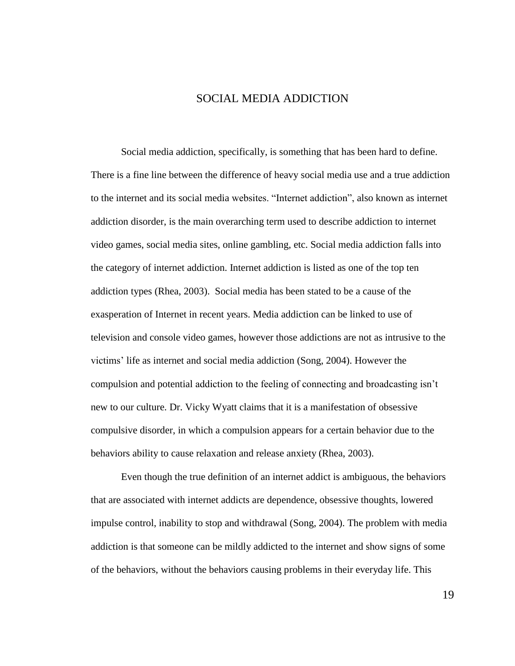## SOCIAL MEDIA ADDICTION

Social media addiction, specifically, is something that has been hard to define. There is a fine line between the difference of heavy social media use and a true addiction to the internet and its social media websites. "Internet addiction", also known as internet addiction disorder, is the main overarching term used to describe addiction to internet video games, social media sites, online gambling, etc. Social media addiction falls into the category of internet addiction. Internet addiction is listed as one of the top ten addiction types (Rhea, 2003). Social media has been stated to be a cause of the exasperation of Internet in recent years. Media addiction can be linked to use of television and console video games, however those addictions are not as intrusive to the victims' life as internet and social media addiction (Song, 2004). However the compulsion and potential addiction to the feeling of connecting and broadcasting isn't new to our culture. Dr. Vicky Wyatt claims that it is a manifestation of obsessive compulsive disorder, in which a compulsion appears for a certain behavior due to the behaviors ability to cause relaxation and release anxiety (Rhea, 2003).

Even though the true definition of an internet addict is ambiguous, the behaviors that are associated with internet addicts are dependence, obsessive thoughts, lowered impulse control, inability to stop and withdrawal (Song, 2004). The problem with media addiction is that someone can be mildly addicted to the internet and show signs of some of the behaviors, without the behaviors causing problems in their everyday life. This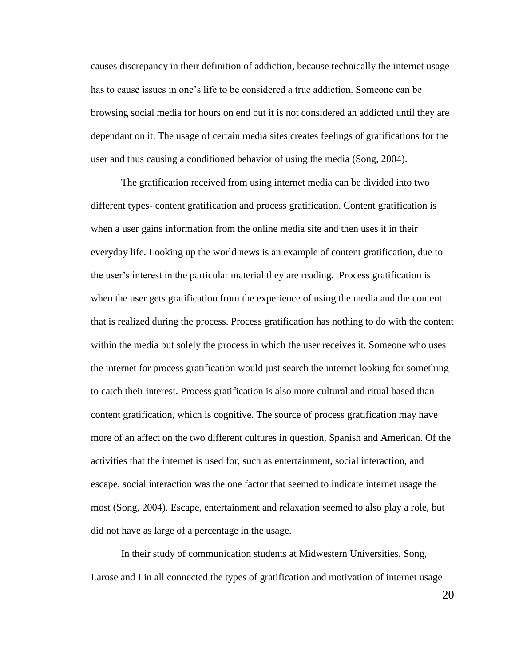causes discrepancy in their definition of addiction, because technically the internet usage has to cause issues in one's life to be considered a true addiction. Someone can be browsing social media for hours on end but it is not considered an addicted until they are dependant on it. The usage of certain media sites creates feelings of gratifications for the user and thus causing a conditioned behavior of using the media (Song, 2004).

The gratification received from using internet media can be divided into two different types- content gratification and process gratification. Content gratification is when a user gains information from the online media site and then uses it in their everyday life. Looking up the world news is an example of content gratification, due to the user's interest in the particular material they are reading. Process gratification is when the user gets gratification from the experience of using the media and the content that is realized during the process. Process gratification has nothing to do with the content within the media but solely the process in which the user receives it. Someone who uses the internet for process gratification would just search the internet looking for something to catch their interest. Process gratification is also more cultural and ritual based than content gratification, which is cognitive. The source of process gratification may have more of an affect on the two different cultures in question, Spanish and American. Of the activities that the internet is used for, such as entertainment, social interaction, and escape, social interaction was the one factor that seemed to indicate internet usage the most (Song, 2004). Escape, entertainment and relaxation seemed to also play a role, but did not have as large of a percentage in the usage.

In their study of communication students at Midwestern Universities, Song, Larose and Lin all connected the types of gratification and motivation of internet usage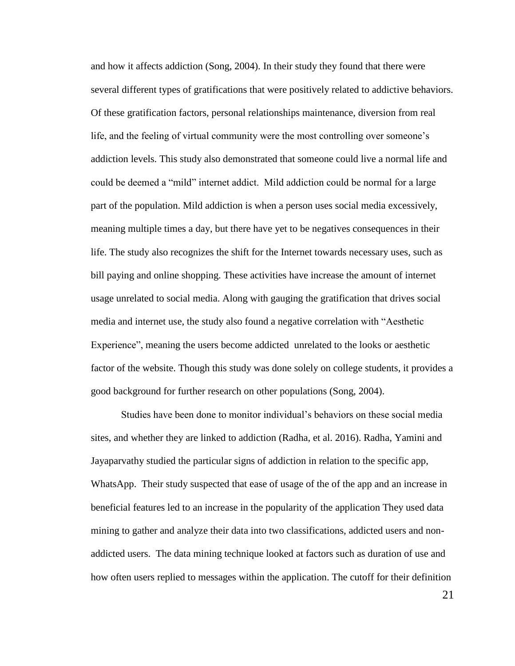and how it affects addiction (Song, 2004). In their study they found that there were several different types of gratifications that were positively related to addictive behaviors. Of these gratification factors, personal relationships maintenance, diversion from real life, and the feeling of virtual community were the most controlling over someone's addiction levels. This study also demonstrated that someone could live a normal life and could be deemed a "mild" internet addict. Mild addiction could be normal for a large part of the population. Mild addiction is when a person uses social media excessively, meaning multiple times a day, but there have yet to be negatives consequences in their life. The study also recognizes the shift for the Internet towards necessary uses, such as bill paying and online shopping. These activities have increase the amount of internet usage unrelated to social media. Along with gauging the gratification that drives social media and internet use, the study also found a negative correlation with "Aesthetic Experience", meaning the users become addicted unrelated to the looks or aesthetic factor of the website. Though this study was done solely on college students, it provides a good background for further research on other populations (Song, 2004).

Studies have been done to monitor individual's behaviors on these social media sites, and whether they are linked to addiction (Radha, et al. 2016). Radha, Yamini and Jayaparvathy studied the particular signs of addiction in relation to the specific app, WhatsApp. Their study suspected that ease of usage of the of the app and an increase in beneficial features led to an increase in the popularity of the application They used data mining to gather and analyze their data into two classifications, addicted users and nonaddicted users. The data mining technique looked at factors such as duration of use and how often users replied to messages within the application. The cutoff for their definition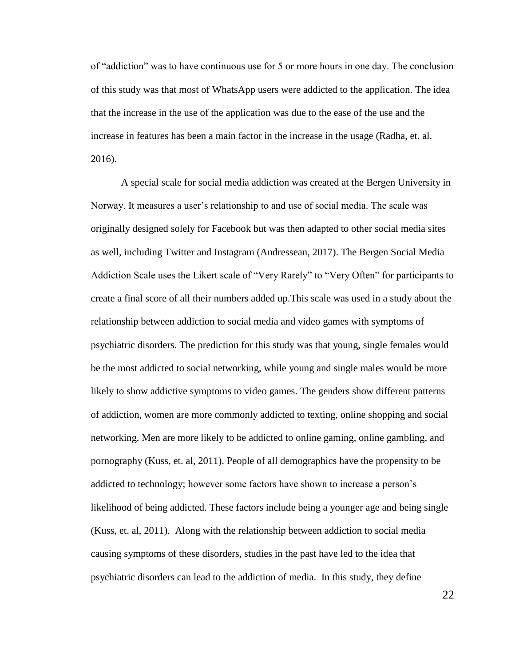of "addiction" was to have continuous use for 5 or more hours in one day. The conclusion of this study was that most of WhatsApp users were addicted to the application. The idea that the increase in the use of the application was due to the ease of the use and the increase in features has been a main factor in the increase in the usage (Radha, et. al. 2016).

A special scale for social media addiction was created at the Bergen University in Norway. It measures a user's relationship to and use of social media. The scale was originally designed solely for Facebook but was then adapted to other social media sites as well, including Twitter and Instagram (Andressean, 2017). The Bergen Social Media Addiction Scale uses the Likert scale of "Very Rarely" to "Very Often" for participants to create a final score of all their numbers added up.This scale was used in a study about the relationship between addiction to social media and video games with symptoms of psychiatric disorders. The prediction for this study was that young, single females would be the most addicted to social networking, while young and single males would be more likely to show addictive symptoms to video games. The genders show different patterns of addiction, women are more commonly addicted to texting, online shopping and social networking. Men are more likely to be addicted to online gaming, online gambling, and pornography (Kuss, et. al, 2011). People of all demographics have the propensity to be addicted to technology; however some factors have shown to increase a person's likelihood of being addicted. These factors include being a younger age and being single (Kuss, et. al, 2011). Along with the relationship between addiction to social media causing symptoms of these disorders, studies in the past have led to the idea that psychiatric disorders can lead to the addiction of media. In this study, they define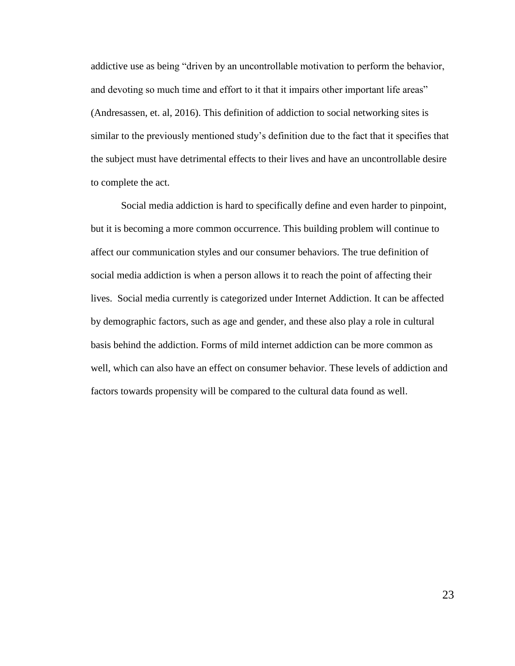addictive use as being "driven by an uncontrollable motivation to perform the behavior, and devoting so much time and effort to it that it impairs other important life areas" (Andresassen, et. al, 2016). This definition of addiction to social networking sites is similar to the previously mentioned study's definition due to the fact that it specifies that the subject must have detrimental effects to their lives and have an uncontrollable desire to complete the act.

Social media addiction is hard to specifically define and even harder to pinpoint, but it is becoming a more common occurrence. This building problem will continue to affect our communication styles and our consumer behaviors. The true definition of social media addiction is when a person allows it to reach the point of affecting their lives. Social media currently is categorized under Internet Addiction. It can be affected by demographic factors, such as age and gender, and these also play a role in cultural basis behind the addiction. Forms of mild internet addiction can be more common as well, which can also have an effect on consumer behavior. These levels of addiction and factors towards propensity will be compared to the cultural data found as well.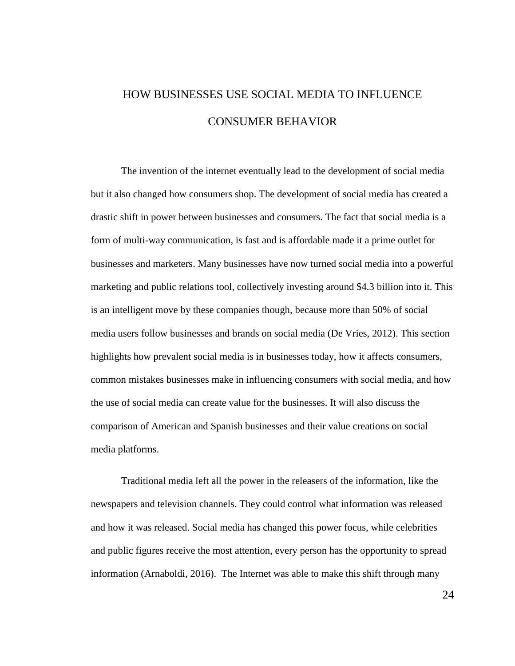# HOW BUSINESSES USE SOCIAL MEDIA TO INFLUENCE CONSUMER BEHAVIOR

The invention of the internet eventually lead to the development of social media but it also changed how consumers shop. The development of social media has created a drastic shift in power between businesses and consumers. The fact that social media is a form of multi-way communication, is fast and is affordable made it a prime outlet for businesses and marketers. Many businesses have now turned social media into a powerful marketing and public relations tool, collectively investing around \$4.3 billion into it. This is an intelligent move by these companies though, because more than 50% of social media users follow businesses and brands on social media (De Vries, 2012). This section highlights how prevalent social media is in businesses today, how it affects consumers, common mistakes businesses make in influencing consumers with social media, and how the use of social media can create value for the businesses. It will also discuss the comparison of American and Spanish businesses and their value creations on social media platforms.

Traditional media left all the power in the releasers of the information, like the newspapers and television channels. They could control what information was released and how it was released. Social media has changed this power focus, while celebrities and public figures receive the most attention, every person has the opportunity to spread information (Arnaboldi, 2016). The Internet was able to make this shift through many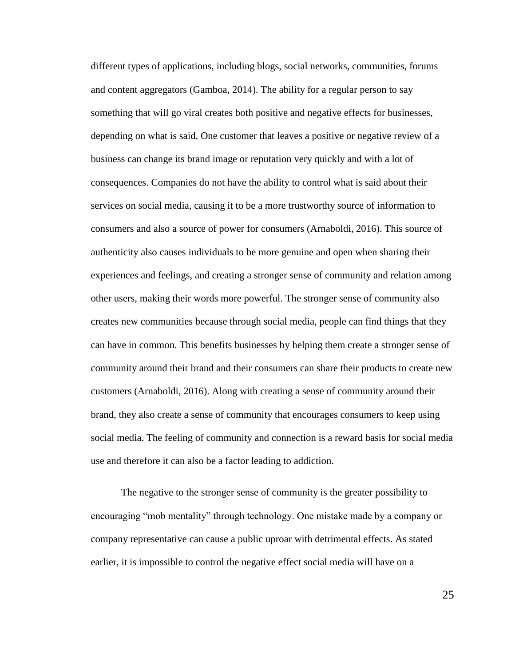different types of applications, including blogs, social networks, communities, forums and content aggregators (Gamboa, 2014). The ability for a regular person to say something that will go viral creates both positive and negative effects for businesses, depending on what is said. One customer that leaves a positive or negative review of a business can change its brand image or reputation very quickly and with a lot of consequences. Companies do not have the ability to control what is said about their services on social media, causing it to be a more trustworthy source of information to consumers and also a source of power for consumers (Arnaboldi, 2016). This source of authenticity also causes individuals to be more genuine and open when sharing their experiences and feelings, and creating a stronger sense of community and relation among other users, making their words more powerful. The stronger sense of community also creates new communities because through social media, people can find things that they can have in common. This benefits businesses by helping them create a stronger sense of community around their brand and their consumers can share their products to create new customers (Arnaboldi, 2016). Along with creating a sense of community around their brand, they also create a sense of community that encourages consumers to keep using social media. The feeling of community and connection is a reward basis for social media use and therefore it can also be a factor leading to addiction.

The negative to the stronger sense of community is the greater possibility to encouraging "mob mentality" through technology. One mistake made by a company or company representative can cause a public uproar with detrimental effects. As stated earlier, it is impossible to control the negative effect social media will have on a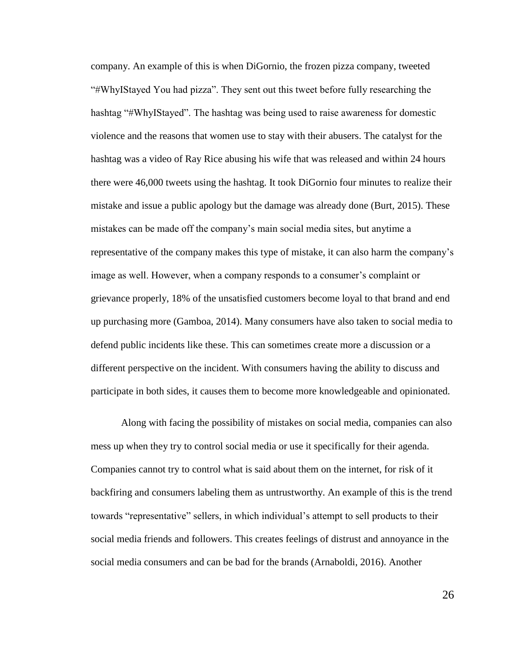company. An example of this is when DiGornio, the frozen pizza company, tweeted "#WhyIStayed You had pizza". They sent out this tweet before fully researching the hashtag "#WhyIStayed". The hashtag was being used to raise awareness for domestic violence and the reasons that women use to stay with their abusers. The catalyst for the hashtag was a video of Ray Rice abusing his wife that was released and within 24 hours there were 46,000 tweets using the hashtag. It took DiGornio four minutes to realize their mistake and issue a public apology but the damage was already done (Burt, 2015). These mistakes can be made off the company's main social media sites, but anytime a representative of the company makes this type of mistake, it can also harm the company's image as well. However, when a company responds to a consumer's complaint or grievance properly, 18% of the unsatisfied customers become loyal to that brand and end up purchasing more (Gamboa, 2014). Many consumers have also taken to social media to defend public incidents like these. This can sometimes create more a discussion or a different perspective on the incident. With consumers having the ability to discuss and participate in both sides, it causes them to become more knowledgeable and opinionated.

Along with facing the possibility of mistakes on social media, companies can also mess up when they try to control social media or use it specifically for their agenda. Companies cannot try to control what is said about them on the internet, for risk of it backfiring and consumers labeling them as untrustworthy. An example of this is the trend towards "representative" sellers, in which individual's attempt to sell products to their social media friends and followers. This creates feelings of distrust and annoyance in the social media consumers and can be bad for the brands (Arnaboldi, 2016). Another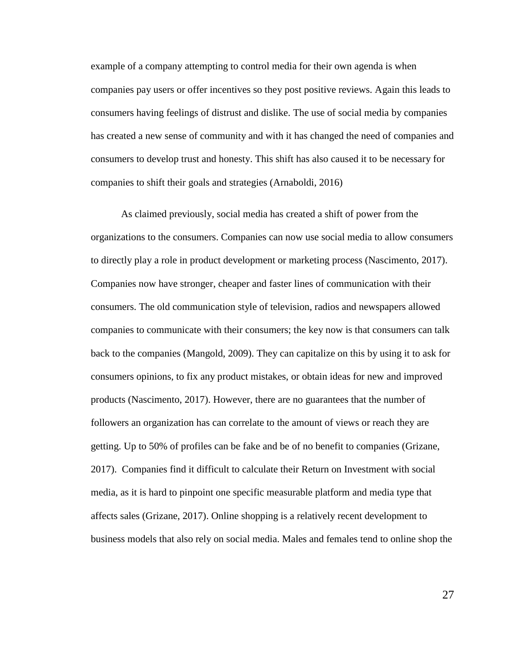example of a company attempting to control media for their own agenda is when companies pay users or offer incentives so they post positive reviews. Again this leads to consumers having feelings of distrust and dislike. The use of social media by companies has created a new sense of community and with it has changed the need of companies and consumers to develop trust and honesty. This shift has also caused it to be necessary for companies to shift their goals and strategies (Arnaboldi, 2016)

As claimed previously, social media has created a shift of power from the organizations to the consumers. Companies can now use social media to allow consumers to directly play a role in product development or marketing process (Nascimento, 2017). Companies now have stronger, cheaper and faster lines of communication with their consumers. The old communication style of television, radios and newspapers allowed companies to communicate with their consumers; the key now is that consumers can talk back to the companies (Mangold, 2009). They can capitalize on this by using it to ask for consumers opinions, to fix any product mistakes, or obtain ideas for new and improved products (Nascimento, 2017). However, there are no guarantees that the number of followers an organization has can correlate to the amount of views or reach they are getting. Up to 50% of profiles can be fake and be of no benefit to companies (Grizane, 2017). Companies find it difficult to calculate their Return on Investment with social media, as it is hard to pinpoint one specific measurable platform and media type that affects sales (Grizane, 2017). Online shopping is a relatively recent development to business models that also rely on social media. Males and females tend to online shop the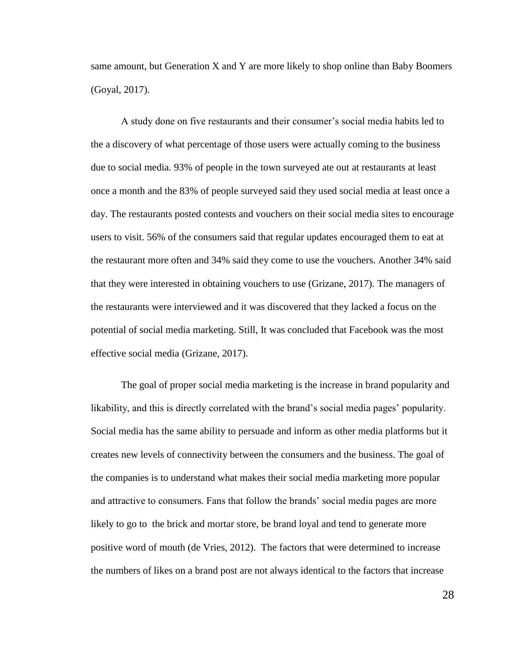same amount, but Generation X and Y are more likely to shop online than Baby Boomers (Goyal, 2017).

A study done on five restaurants and their consumer's social media habits led to the a discovery of what percentage of those users were actually coming to the business due to social media. 93% of people in the town surveyed ate out at restaurants at least once a month and the 83% of people surveyed said they used social media at least once a day. The restaurants posted contests and vouchers on their social media sites to encourage users to visit. 56% of the consumers said that regular updates encouraged them to eat at the restaurant more often and 34% said they come to use the vouchers. Another 34% said that they were interested in obtaining vouchers to use (Grizane, 2017). The managers of the restaurants were interviewed and it was discovered that they lacked a focus on the potential of social media marketing. Still, It was concluded that Facebook was the most effective social media (Grizane, 2017).

The goal of proper social media marketing is the increase in brand popularity and likability, and this is directly correlated with the brand's social media pages' popularity. Social media has the same ability to persuade and inform as other media platforms but it creates new levels of connectivity between the consumers and the business. The goal of the companies is to understand what makes their social media marketing more popular and attractive to consumers. Fans that follow the brands' social media pages are more likely to go to the brick and mortar store, be brand loyal and tend to generate more positive word of mouth (de Vries, 2012). The factors that were determined to increase the numbers of likes on a brand post are not always identical to the factors that increase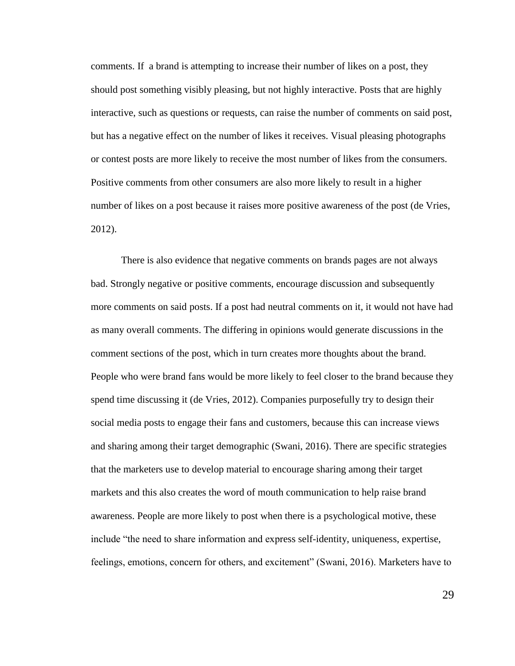comments. If a brand is attempting to increase their number of likes on a post, they should post something visibly pleasing, but not highly interactive. Posts that are highly interactive, such as questions or requests, can raise the number of comments on said post, but has a negative effect on the number of likes it receives. Visual pleasing photographs or contest posts are more likely to receive the most number of likes from the consumers. Positive comments from other consumers are also more likely to result in a higher number of likes on a post because it raises more positive awareness of the post (de Vries, 2012).

There is also evidence that negative comments on brands pages are not always bad. Strongly negative or positive comments, encourage discussion and subsequently more comments on said posts. If a post had neutral comments on it, it would not have had as many overall comments. The differing in opinions would generate discussions in the comment sections of the post, which in turn creates more thoughts about the brand. People who were brand fans would be more likely to feel closer to the brand because they spend time discussing it (de Vries, 2012). Companies purposefully try to design their social media posts to engage their fans and customers, because this can increase views and sharing among their target demographic (Swani, 2016). There are specific strategies that the marketers use to develop material to encourage sharing among their target markets and this also creates the word of mouth communication to help raise brand awareness. People are more likely to post when there is a psychological motive, these include "the need to share information and express self-identity, uniqueness, expertise, feelings, emotions, concern for others, and excitement" (Swani, 2016). Marketers have to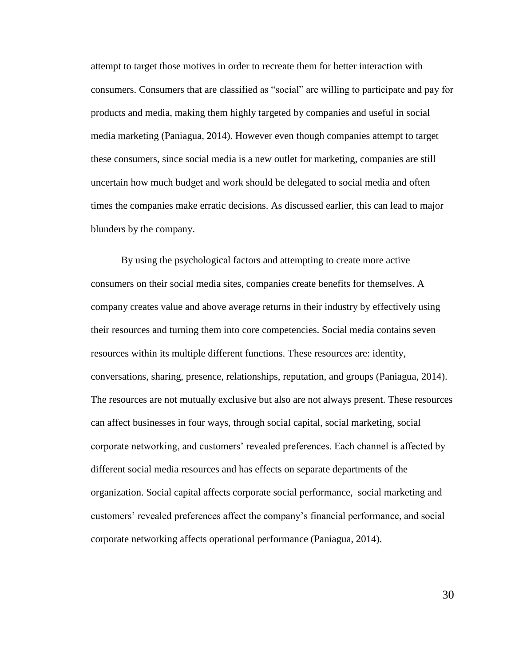attempt to target those motives in order to recreate them for better interaction with consumers. Consumers that are classified as "social" are willing to participate and pay for products and media, making them highly targeted by companies and useful in social media marketing (Paniagua, 2014). However even though companies attempt to target these consumers, since social media is a new outlet for marketing, companies are still uncertain how much budget and work should be delegated to social media and often times the companies make erratic decisions. As discussed earlier, this can lead to major blunders by the company.

By using the psychological factors and attempting to create more active consumers on their social media sites, companies create benefits for themselves. A company creates value and above average returns in their industry by effectively using their resources and turning them into core competencies. Social media contains seven resources within its multiple different functions. These resources are: identity, conversations, sharing, presence, relationships, reputation, and groups (Paniagua, 2014). The resources are not mutually exclusive but also are not always present. These resources can affect businesses in four ways, through social capital, social marketing, social corporate networking, and customers' revealed preferences. Each channel is affected by different social media resources and has effects on separate departments of the organization. Social capital affects corporate social performance, social marketing and customers' revealed preferences affect the company's financial performance, and social corporate networking affects operational performance (Paniagua, 2014).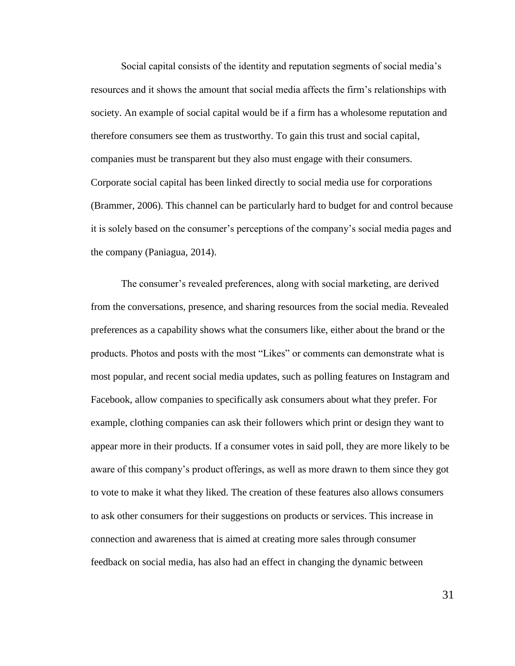Social capital consists of the identity and reputation segments of social media's resources and it shows the amount that social media affects the firm's relationships with society. An example of social capital would be if a firm has a wholesome reputation and therefore consumers see them as trustworthy. To gain this trust and social capital, companies must be transparent but they also must engage with their consumers. Corporate social capital has been linked directly to social media use for corporations (Brammer, 2006). This channel can be particularly hard to budget for and control because it is solely based on the consumer's perceptions of the company's social media pages and the company (Paniagua, 2014).

The consumer's revealed preferences, along with social marketing, are derived from the conversations, presence, and sharing resources from the social media. Revealed preferences as a capability shows what the consumers like, either about the brand or the products. Photos and posts with the most "Likes" or comments can demonstrate what is most popular, and recent social media updates, such as polling features on Instagram and Facebook, allow companies to specifically ask consumers about what they prefer. For example, clothing companies can ask their followers which print or design they want to appear more in their products. If a consumer votes in said poll, they are more likely to be aware of this company's product offerings, as well as more drawn to them since they got to vote to make it what they liked. The creation of these features also allows consumers to ask other consumers for their suggestions on products or services. This increase in connection and awareness that is aimed at creating more sales through consumer feedback on social media, has also had an effect in changing the dynamic between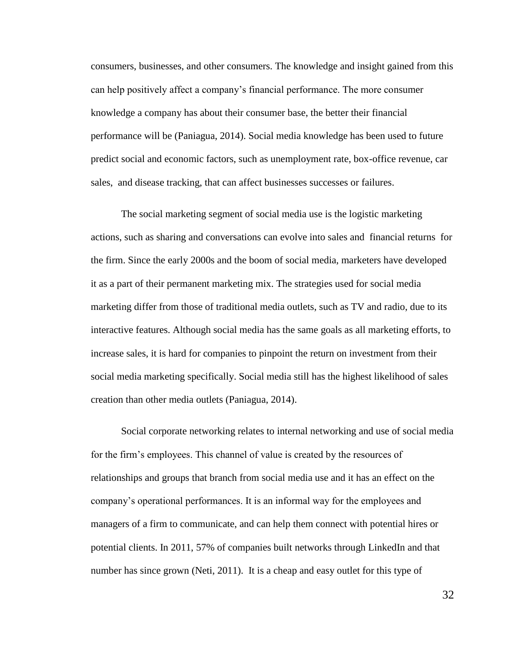consumers, businesses, and other consumers. The knowledge and insight gained from this can help positively affect a company's financial performance. The more consumer knowledge a company has about their consumer base, the better their financial performance will be (Paniagua, 2014). Social media knowledge has been used to future predict social and economic factors, such as unemployment rate, box-office revenue, car sales, and disease tracking, that can affect businesses successes or failures.

The social marketing segment of social media use is the logistic marketing actions, such as sharing and conversations can evolve into sales and financial returns for the firm. Since the early 2000s and the boom of social media, marketers have developed it as a part of their permanent marketing mix. The strategies used for social media marketing differ from those of traditional media outlets, such as TV and radio, due to its interactive features. Although social media has the same goals as all marketing efforts, to increase sales, it is hard for companies to pinpoint the return on investment from their social media marketing specifically. Social media still has the highest likelihood of sales creation than other media outlets (Paniagua, 2014).

Social corporate networking relates to internal networking and use of social media for the firm's employees. This channel of value is created by the resources of relationships and groups that branch from social media use and it has an effect on the company's operational performances. It is an informal way for the employees and managers of a firm to communicate, and can help them connect with potential hires or potential clients. In 2011, 57% of companies built networks through LinkedIn and that number has since grown (Neti, 2011). It is a cheap and easy outlet for this type of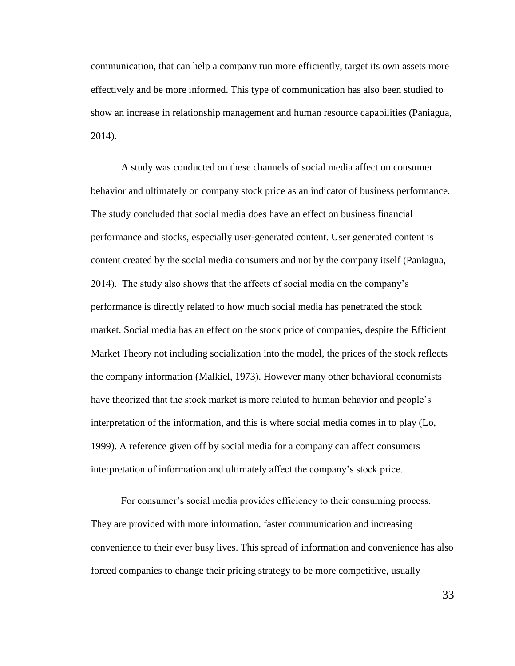communication, that can help a company run more efficiently, target its own assets more effectively and be more informed. This type of communication has also been studied to show an increase in relationship management and human resource capabilities (Paniagua, 2014).

A study was conducted on these channels of social media affect on consumer behavior and ultimately on company stock price as an indicator of business performance. The study concluded that social media does have an effect on business financial performance and stocks, especially user-generated content. User generated content is content created by the social media consumers and not by the company itself (Paniagua, 2014). The study also shows that the affects of social media on the company's performance is directly related to how much social media has penetrated the stock market. Social media has an effect on the stock price of companies, despite the Efficient Market Theory not including socialization into the model, the prices of the stock reflects the company information (Malkiel, 1973). However many other behavioral economists have theorized that the stock market is more related to human behavior and people's interpretation of the information, and this is where social media comes in to play (Lo, 1999). A reference given off by social media for a company can affect consumers interpretation of information and ultimately affect the company's stock price.

For consumer's social media provides efficiency to their consuming process. They are provided with more information, faster communication and increasing convenience to their ever busy lives. This spread of information and convenience has also forced companies to change their pricing strategy to be more competitive, usually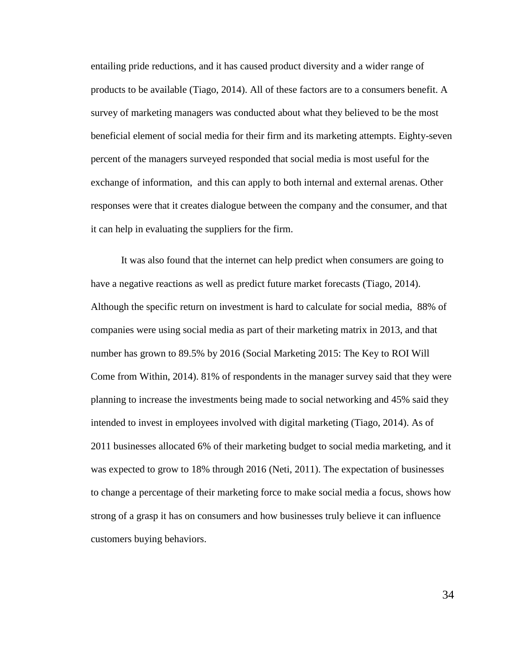entailing pride reductions, and it has caused product diversity and a wider range of products to be available (Tiago, 2014). All of these factors are to a consumers benefit. A survey of marketing managers was conducted about what they believed to be the most beneficial element of social media for their firm and its marketing attempts. Eighty-seven percent of the managers surveyed responded that social media is most useful for the exchange of information, and this can apply to both internal and external arenas. Other responses were that it creates dialogue between the company and the consumer, and that it can help in evaluating the suppliers for the firm.

It was also found that the internet can help predict when consumers are going to have a negative reactions as well as predict future market forecasts (Tiago, 2014). Although the specific return on investment is hard to calculate for social media, 88% of companies were using social media as part of their marketing matrix in 2013, and that number has grown to 89.5% by 2016 (Social Marketing 2015: The Key to ROI Will Come from Within, 2014). 81% of respondents in the manager survey said that they were planning to increase the investments being made to social networking and 45% said they intended to invest in employees involved with digital marketing (Tiago, 2014). As of 2011 businesses allocated 6% of their marketing budget to social media marketing, and it was expected to grow to 18% through 2016 (Neti, 2011). The expectation of businesses to change a percentage of their marketing force to make social media a focus, shows how strong of a grasp it has on consumers and how businesses truly believe it can influence customers buying behaviors.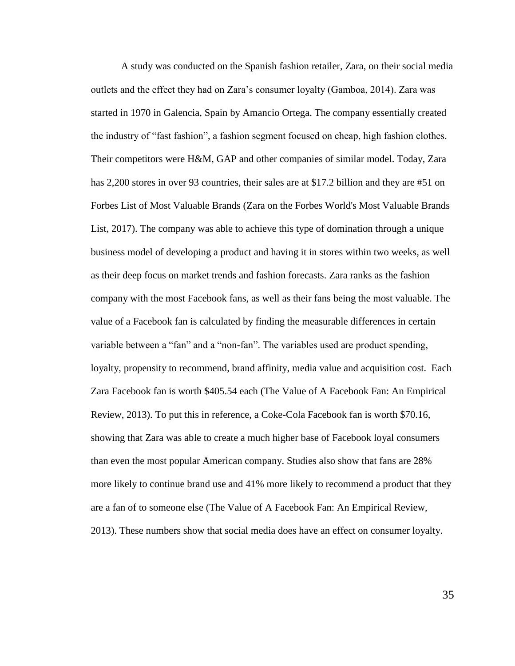A study was conducted on the Spanish fashion retailer, Zara, on their social media outlets and the effect they had on Zara's consumer loyalty (Gamboa, 2014). Zara was started in 1970 in Galencia, Spain by Amancio Ortega. The company essentially created the industry of "fast fashion", a fashion segment focused on cheap, high fashion clothes. Their competitors were H&M, GAP and other companies of similar model. Today, Zara has 2,200 stores in over 93 countries, their sales are at \$17.2 billion and they are #51 on Forbes List of Most Valuable Brands (Zara on the Forbes World's Most Valuable Brands List, 2017). The company was able to achieve this type of domination through a unique business model of developing a product and having it in stores within two weeks, as well as their deep focus on market trends and fashion forecasts. Zara ranks as the fashion company with the most Facebook fans, as well as their fans being the most valuable. The value of a Facebook fan is calculated by finding the measurable differences in certain variable between a "fan" and a "non-fan". The variables used are product spending, loyalty, propensity to recommend, brand affinity, media value and acquisition cost. Each Zara Facebook fan is worth \$405.54 each (The Value of A Facebook Fan: An Empirical Review, 2013). To put this in reference, a Coke-Cola Facebook fan is worth \$70.16, showing that Zara was able to create a much higher base of Facebook loyal consumers than even the most popular American company. Studies also show that fans are 28% more likely to continue brand use and 41% more likely to recommend a product that they are a fan of to someone else (The Value of A Facebook Fan: An Empirical Review, 2013). These numbers show that social media does have an effect on consumer loyalty.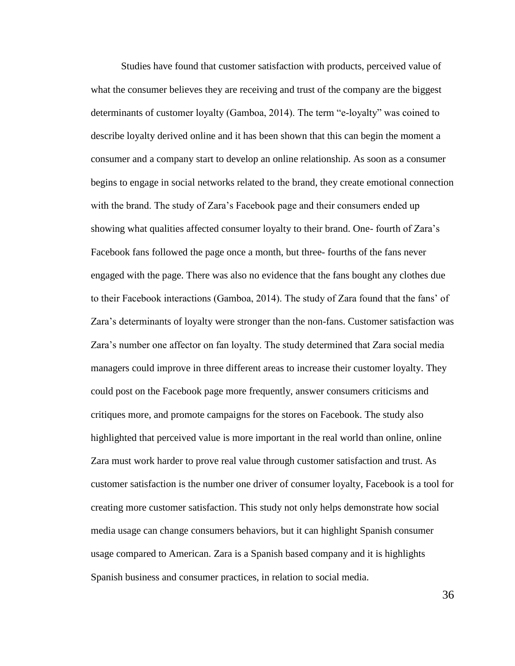Studies have found that customer satisfaction with products, perceived value of what the consumer believes they are receiving and trust of the company are the biggest determinants of customer loyalty (Gamboa, 2014). The term "e-loyalty" was coined to describe loyalty derived online and it has been shown that this can begin the moment a consumer and a company start to develop an online relationship. As soon as a consumer begins to engage in social networks related to the brand, they create emotional connection with the brand. The study of Zara's Facebook page and their consumers ended up showing what qualities affected consumer loyalty to their brand. One- fourth of Zara's Facebook fans followed the page once a month, but three- fourths of the fans never engaged with the page. There was also no evidence that the fans bought any clothes due to their Facebook interactions (Gamboa, 2014). The study of Zara found that the fans' of Zara's determinants of loyalty were stronger than the non-fans. Customer satisfaction was Zara's number one affector on fan loyalty. The study determined that Zara social media managers could improve in three different areas to increase their customer loyalty. They could post on the Facebook page more frequently, answer consumers criticisms and critiques more, and promote campaigns for the stores on Facebook. The study also highlighted that perceived value is more important in the real world than online, online Zara must work harder to prove real value through customer satisfaction and trust. As customer satisfaction is the number one driver of consumer loyalty, Facebook is a tool for creating more customer satisfaction. This study not only helps demonstrate how social media usage can change consumers behaviors, but it can highlight Spanish consumer usage compared to American. Zara is a Spanish based company and it is highlights Spanish business and consumer practices, in relation to social media.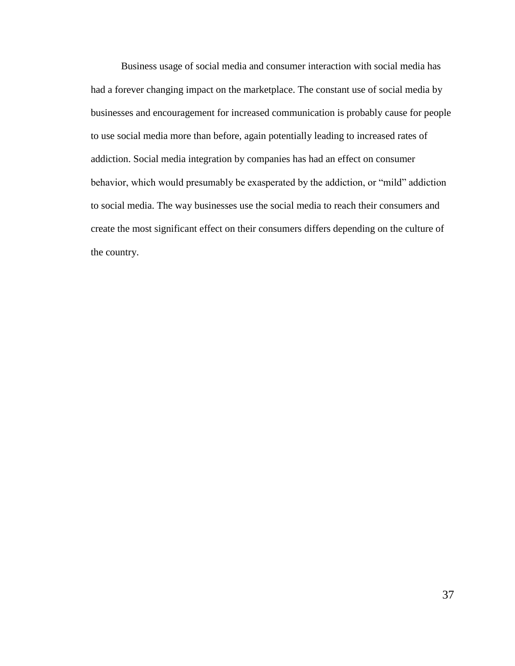Business usage of social media and consumer interaction with social media has had a forever changing impact on the marketplace. The constant use of social media by businesses and encouragement for increased communication is probably cause for people to use social media more than before, again potentially leading to increased rates of addiction. Social media integration by companies has had an effect on consumer behavior, which would presumably be exasperated by the addiction, or "mild" addiction to social media. The way businesses use the social media to reach their consumers and create the most significant effect on their consumers differs depending on the culture of the country.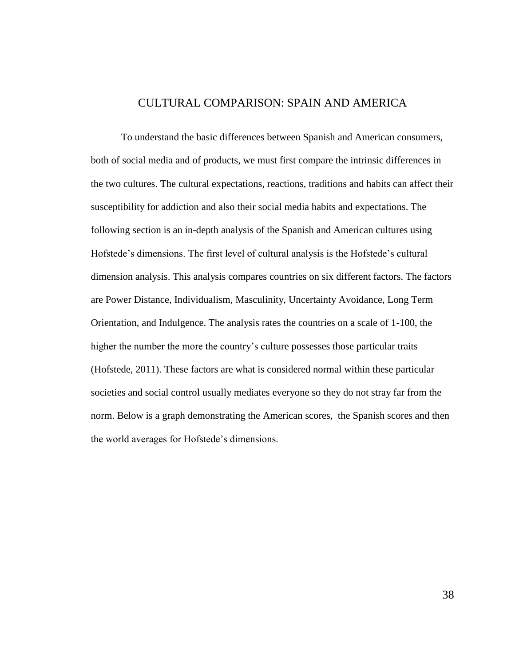## CULTURAL COMPARISON: SPAIN AND AMERICA

To understand the basic differences between Spanish and American consumers, both of social media and of products, we must first compare the intrinsic differences in the two cultures. The cultural expectations, reactions, traditions and habits can affect their susceptibility for addiction and also their social media habits and expectations. The following section is an in-depth analysis of the Spanish and American cultures using Hofstede's dimensions. The first level of cultural analysis is the Hofstede's cultural dimension analysis. This analysis compares countries on six different factors. The factors are Power Distance, Individualism, Masculinity, Uncertainty Avoidance, Long Term Orientation, and Indulgence. The analysis rates the countries on a scale of 1-100, the higher the number the more the country's culture possesses those particular traits (Hofstede, 2011). These factors are what is considered normal within these particular societies and social control usually mediates everyone so they do not stray far from the norm. Below is a graph demonstrating the American scores, the Spanish scores and then the world averages for Hofstede's dimensions.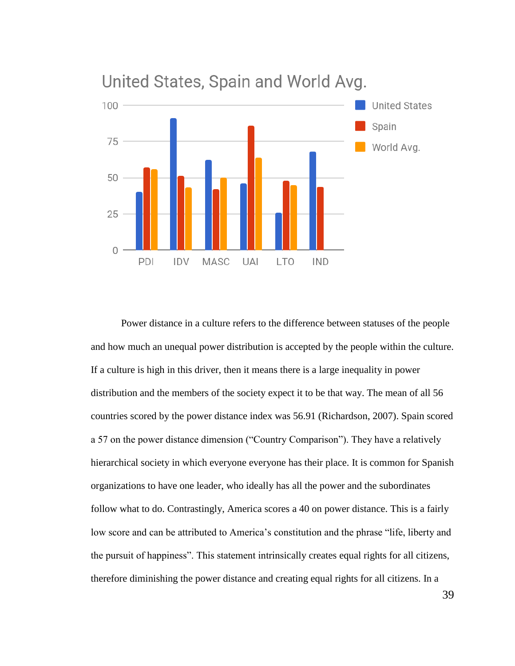

# United States, Spain and World Avg.

Power distance in a culture refers to the difference between statuses of the people and how much an unequal power distribution is accepted by the people within the culture. If a culture is high in this driver, then it means there is a large inequality in power distribution and the members of the society expect it to be that way. The mean of all 56 countries scored by the power distance index was 56.91 (Richardson, 2007). Spain scored a 57 on the power distance dimension ("Country Comparison"). They have a relatively hierarchical society in which everyone everyone has their place. It is common for Spanish organizations to have one leader, who ideally has all the power and the subordinates follow what to do. Contrastingly, America scores a 40 on power distance. This is a fairly low score and can be attributed to America's constitution and the phrase "life, liberty and the pursuit of happiness". This statement intrinsically creates equal rights for all citizens, therefore diminishing the power distance and creating equal rights for all citizens. In a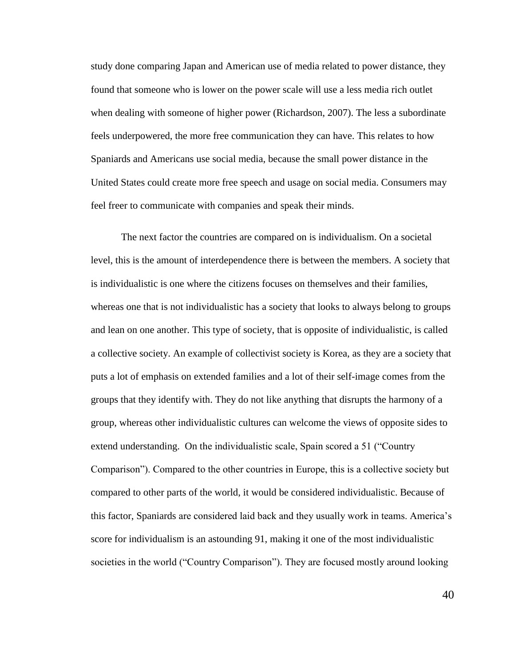study done comparing Japan and American use of media related to power distance, they found that someone who is lower on the power scale will use a less media rich outlet when dealing with someone of higher power (Richardson, 2007). The less a subordinate feels underpowered, the more free communication they can have. This relates to how Spaniards and Americans use social media, because the small power distance in the United States could create more free speech and usage on social media. Consumers may feel freer to communicate with companies and speak their minds.

The next factor the countries are compared on is individualism. On a societal level, this is the amount of interdependence there is between the members. A society that is individualistic is one where the citizens focuses on themselves and their families, whereas one that is not individualistic has a society that looks to always belong to groups and lean on one another. This type of society, that is opposite of individualistic, is called a collective society. An example of collectivist society is Korea, as they are a society that puts a lot of emphasis on extended families and a lot of their self-image comes from the groups that they identify with. They do not like anything that disrupts the harmony of a group, whereas other individualistic cultures can welcome the views of opposite sides to extend understanding. On the individualistic scale, Spain scored a 51 ("Country Comparison"). Compared to the other countries in Europe, this is a collective society but compared to other parts of the world, it would be considered individualistic. Because of this factor, Spaniards are considered laid back and they usually work in teams. America's score for individualism is an astounding 91, making it one of the most individualistic societies in the world ("Country Comparison"). They are focused mostly around looking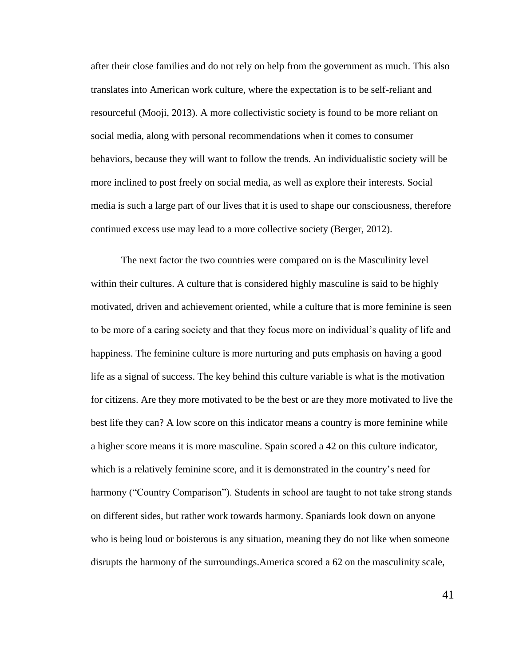after their close families and do not rely on help from the government as much. This also translates into American work culture, where the expectation is to be self-reliant and resourceful (Mooji, 2013). A more collectivistic society is found to be more reliant on social media, along with personal recommendations when it comes to consumer behaviors, because they will want to follow the trends. An individualistic society will be more inclined to post freely on social media, as well as explore their interests. Social media is such a large part of our lives that it is used to shape our consciousness, therefore continued excess use may lead to a more collective society (Berger, 2012).

The next factor the two countries were compared on is the Masculinity level within their cultures. A culture that is considered highly masculine is said to be highly motivated, driven and achievement oriented, while a culture that is more feminine is seen to be more of a caring society and that they focus more on individual's quality of life and happiness. The feminine culture is more nurturing and puts emphasis on having a good life as a signal of success. The key behind this culture variable is what is the motivation for citizens. Are they more motivated to be the best or are they more motivated to live the best life they can? A low score on this indicator means a country is more feminine while a higher score means it is more masculine. Spain scored a 42 on this culture indicator, which is a relatively feminine score, and it is demonstrated in the country's need for harmony ("Country Comparison"). Students in school are taught to not take strong stands on different sides, but rather work towards harmony. Spaniards look down on anyone who is being loud or boisterous is any situation, meaning they do not like when someone disrupts the harmony of the surroundings.America scored a 62 on the masculinity scale,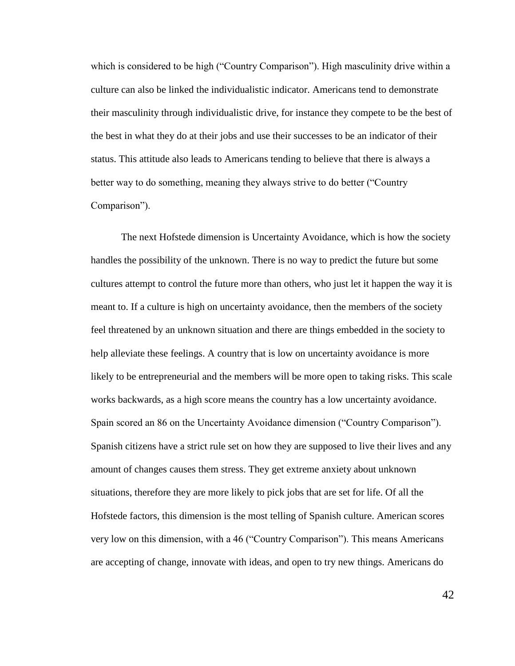which is considered to be high ("Country Comparison"). High masculinity drive within a culture can also be linked the individualistic indicator. Americans tend to demonstrate their masculinity through individualistic drive, for instance they compete to be the best of the best in what they do at their jobs and use their successes to be an indicator of their status. This attitude also leads to Americans tending to believe that there is always a better way to do something, meaning they always strive to do better ("Country Comparison").

The next Hofstede dimension is Uncertainty Avoidance, which is how the society handles the possibility of the unknown. There is no way to predict the future but some cultures attempt to control the future more than others, who just let it happen the way it is meant to. If a culture is high on uncertainty avoidance, then the members of the society feel threatened by an unknown situation and there are things embedded in the society to help alleviate these feelings. A country that is low on uncertainty avoidance is more likely to be entrepreneurial and the members will be more open to taking risks. This scale works backwards, as a high score means the country has a low uncertainty avoidance. Spain scored an 86 on the Uncertainty Avoidance dimension ("Country Comparison"). Spanish citizens have a strict rule set on how they are supposed to live their lives and any amount of changes causes them stress. They get extreme anxiety about unknown situations, therefore they are more likely to pick jobs that are set for life. Of all the Hofstede factors, this dimension is the most telling of Spanish culture. American scores very low on this dimension, with a 46 ("Country Comparison"). This means Americans are accepting of change, innovate with ideas, and open to try new things. Americans do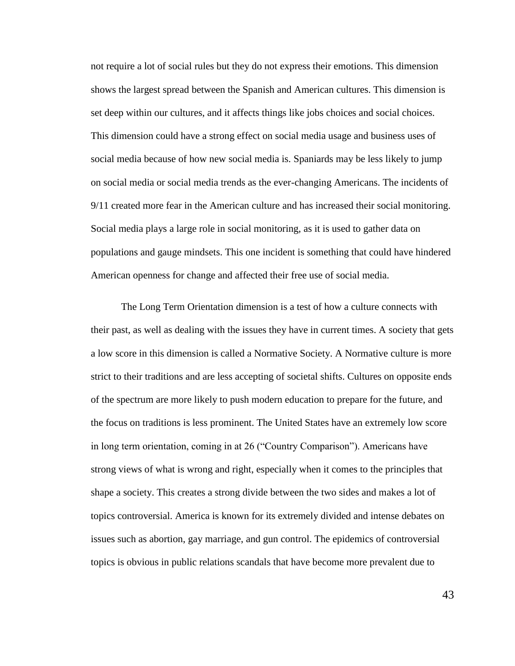not require a lot of social rules but they do not express their emotions. This dimension shows the largest spread between the Spanish and American cultures. This dimension is set deep within our cultures, and it affects things like jobs choices and social choices. This dimension could have a strong effect on social media usage and business uses of social media because of how new social media is. Spaniards may be less likely to jump on social media or social media trends as the ever-changing Americans. The incidents of 9/11 created more fear in the American culture and has increased their social monitoring. Social media plays a large role in social monitoring, as it is used to gather data on populations and gauge mindsets. This one incident is something that could have hindered American openness for change and affected their free use of social media.

The Long Term Orientation dimension is a test of how a culture connects with their past, as well as dealing with the issues they have in current times. A society that gets a low score in this dimension is called a Normative Society. A Normative culture is more strict to their traditions and are less accepting of societal shifts. Cultures on opposite ends of the spectrum are more likely to push modern education to prepare for the future, and the focus on traditions is less prominent. The United States have an extremely low score in long term orientation, coming in at 26 ("Country Comparison"). Americans have strong views of what is wrong and right, especially when it comes to the principles that shape a society. This creates a strong divide between the two sides and makes a lot of topics controversial. America is known for its extremely divided and intense debates on issues such as abortion, gay marriage, and gun control. The epidemics of controversial topics is obvious in public relations scandals that have become more prevalent due to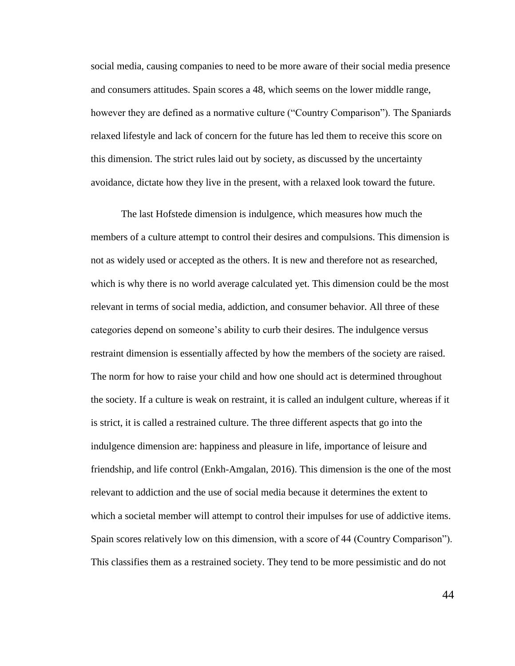social media, causing companies to need to be more aware of their social media presence and consumers attitudes. Spain scores a 48, which seems on the lower middle range, however they are defined as a normative culture ("Country Comparison"). The Spaniards relaxed lifestyle and lack of concern for the future has led them to receive this score on this dimension. The strict rules laid out by society, as discussed by the uncertainty avoidance, dictate how they live in the present, with a relaxed look toward the future.

The last Hofstede dimension is indulgence, which measures how much the members of a culture attempt to control their desires and compulsions. This dimension is not as widely used or accepted as the others. It is new and therefore not as researched, which is why there is no world average calculated yet. This dimension could be the most relevant in terms of social media, addiction, and consumer behavior. All three of these categories depend on someone's ability to curb their desires. The indulgence versus restraint dimension is essentially affected by how the members of the society are raised. The norm for how to raise your child and how one should act is determined throughout the society. If a culture is weak on restraint, it is called an indulgent culture, whereas if it is strict, it is called a restrained culture. The three different aspects that go into the indulgence dimension are: happiness and pleasure in life, importance of leisure and friendship, and life control (Enkh-Amgalan, 2016). This dimension is the one of the most relevant to addiction and the use of social media because it determines the extent to which a societal member will attempt to control their impulses for use of addictive items. Spain scores relatively low on this dimension, with a score of 44 (Country Comparison"). This classifies them as a restrained society. They tend to be more pessimistic and do not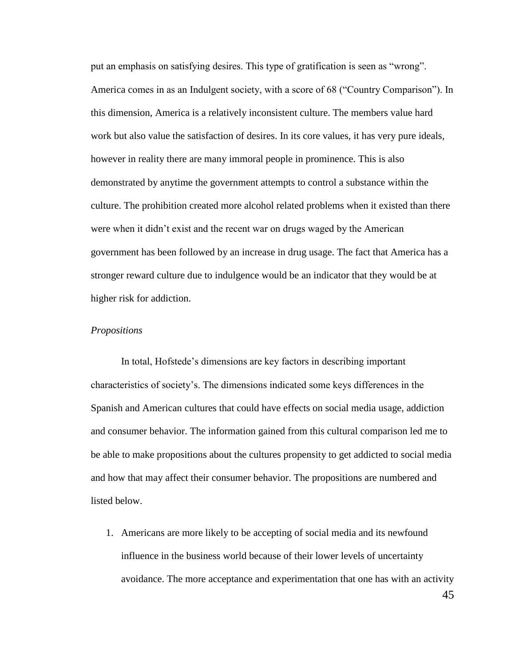put an emphasis on satisfying desires. This type of gratification is seen as "wrong". America comes in as an Indulgent society, with a score of 68 ("Country Comparison"). In this dimension, America is a relatively inconsistent culture. The members value hard work but also value the satisfaction of desires. In its core values, it has very pure ideals, however in reality there are many immoral people in prominence. This is also demonstrated by anytime the government attempts to control a substance within the culture. The prohibition created more alcohol related problems when it existed than there were when it didn't exist and the recent war on drugs waged by the American government has been followed by an increase in drug usage. The fact that America has a stronger reward culture due to indulgence would be an indicator that they would be at higher risk for addiction.

#### *Propositions*

In total, Hofstede's dimensions are key factors in describing important characteristics of society's. The dimensions indicated some keys differences in the Spanish and American cultures that could have effects on social media usage, addiction and consumer behavior. The information gained from this cultural comparison led me to be able to make propositions about the cultures propensity to get addicted to social media and how that may affect their consumer behavior. The propositions are numbered and listed below.

1. Americans are more likely to be accepting of social media and its newfound influence in the business world because of their lower levels of uncertainty avoidance. The more acceptance and experimentation that one has with an activity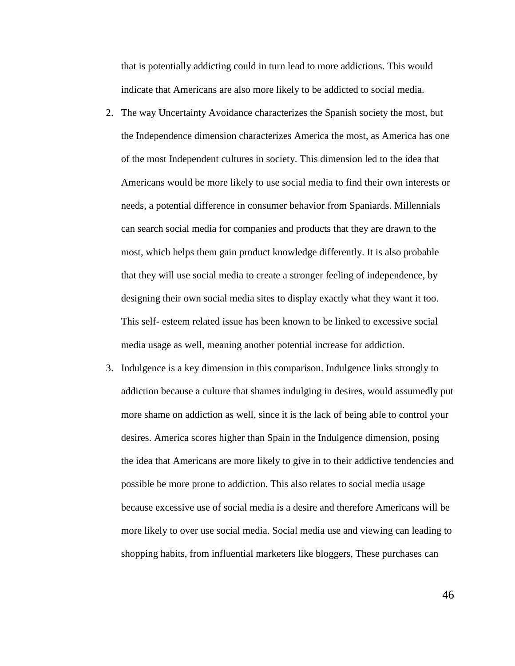that is potentially addicting could in turn lead to more addictions. This would indicate that Americans are also more likely to be addicted to social media.

- 2. The way Uncertainty Avoidance characterizes the Spanish society the most, but the Independence dimension characterizes America the most, as America has one of the most Independent cultures in society. This dimension led to the idea that Americans would be more likely to use social media to find their own interests or needs, a potential difference in consumer behavior from Spaniards. Millennials can search social media for companies and products that they are drawn to the most, which helps them gain product knowledge differently. It is also probable that they will use social media to create a stronger feeling of independence, by designing their own social media sites to display exactly what they want it too. This self- esteem related issue has been known to be linked to excessive social media usage as well, meaning another potential increase for addiction.
- 3. Indulgence is a key dimension in this comparison. Indulgence links strongly to addiction because a culture that shames indulging in desires, would assumedly put more shame on addiction as well, since it is the lack of being able to control your desires. America scores higher than Spain in the Indulgence dimension, posing the idea that Americans are more likely to give in to their addictive tendencies and possible be more prone to addiction. This also relates to social media usage because excessive use of social media is a desire and therefore Americans will be more likely to over use social media. Social media use and viewing can leading to shopping habits, from influential marketers like bloggers, These purchases can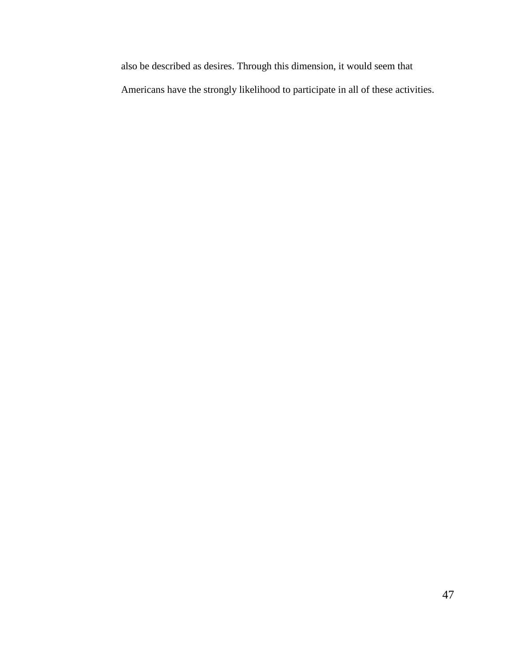also be described as desires. Through this dimension, it would seem that Americans have the strongly likelihood to participate in all of these activities.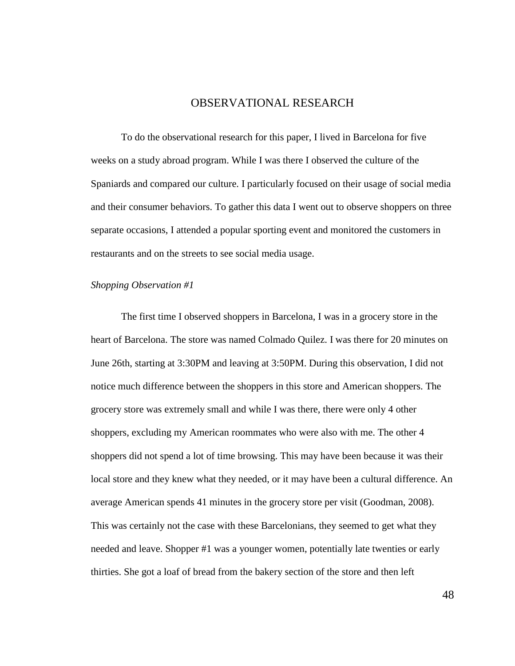#### OBSERVATIONAL RESEARCH

To do the observational research for this paper, I lived in Barcelona for five weeks on a study abroad program. While I was there I observed the culture of the Spaniards and compared our culture. I particularly focused on their usage of social media and their consumer behaviors. To gather this data I went out to observe shoppers on three separate occasions, I attended a popular sporting event and monitored the customers in restaurants and on the streets to see social media usage.

#### *Shopping Observation #1*

The first time I observed shoppers in Barcelona, I was in a grocery store in the heart of Barcelona. The store was named Colmado Quilez. I was there for 20 minutes on June 26th, starting at 3:30PM and leaving at 3:50PM. During this observation, I did not notice much difference between the shoppers in this store and American shoppers. The grocery store was extremely small and while I was there, there were only 4 other shoppers, excluding my American roommates who were also with me. The other 4 shoppers did not spend a lot of time browsing. This may have been because it was their local store and they knew what they needed, or it may have been a cultural difference. An average American spends 41 minutes in the grocery store per visit (Goodman, 2008). This was certainly not the case with these Barcelonians, they seemed to get what they needed and leave. Shopper #1 was a younger women, potentially late twenties or early thirties. She got a loaf of bread from the bakery section of the store and then left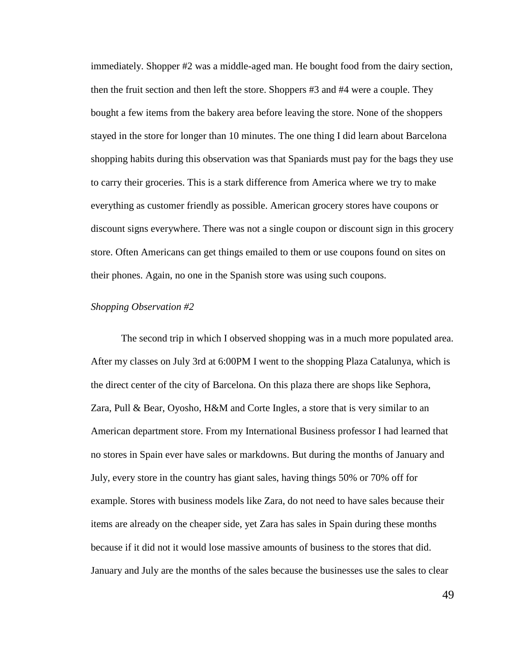immediately. Shopper #2 was a middle-aged man. He bought food from the dairy section, then the fruit section and then left the store. Shoppers #3 and #4 were a couple. They bought a few items from the bakery area before leaving the store. None of the shoppers stayed in the store for longer than 10 minutes. The one thing I did learn about Barcelona shopping habits during this observation was that Spaniards must pay for the bags they use to carry their groceries. This is a stark difference from America where we try to make everything as customer friendly as possible. American grocery stores have coupons or discount signs everywhere. There was not a single coupon or discount sign in this grocery store. Often Americans can get things emailed to them or use coupons found on sites on their phones. Again, no one in the Spanish store was using such coupons.

#### *Shopping Observation #2*

The second trip in which I observed shopping was in a much more populated area. After my classes on July 3rd at 6:00PM I went to the shopping Plaza Catalunya, which is the direct center of the city of Barcelona. On this plaza there are shops like Sephora, Zara, Pull & Bear, Oyosho, H&M and Corte Ingles, a store that is very similar to an American department store. From my International Business professor I had learned that no stores in Spain ever have sales or markdowns. But during the months of January and July, every store in the country has giant sales, having things 50% or 70% off for example. Stores with business models like Zara, do not need to have sales because their items are already on the cheaper side, yet Zara has sales in Spain during these months because if it did not it would lose massive amounts of business to the stores that did. January and July are the months of the sales because the businesses use the sales to clear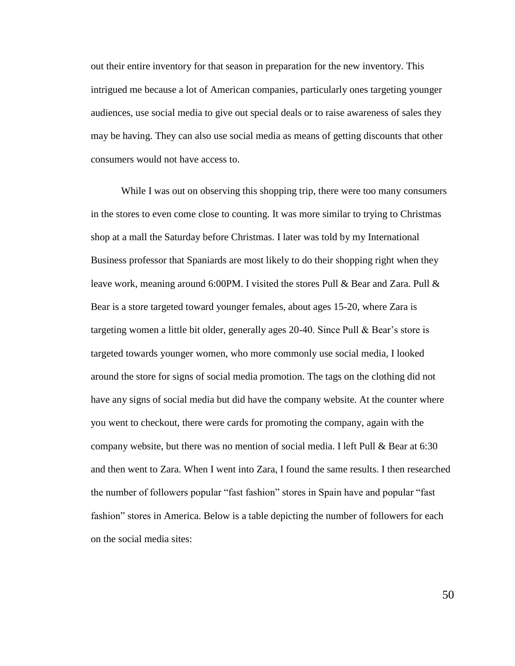out their entire inventory for that season in preparation for the new inventory. This intrigued me because a lot of American companies, particularly ones targeting younger audiences, use social media to give out special deals or to raise awareness of sales they may be having. They can also use social media as means of getting discounts that other consumers would not have access to.

While I was out on observing this shopping trip, there were too many consumers in the stores to even come close to counting. It was more similar to trying to Christmas shop at a mall the Saturday before Christmas. I later was told by my International Business professor that Spaniards are most likely to do their shopping right when they leave work, meaning around 6:00PM. I visited the stores Pull & Bear and Zara. Pull & Bear is a store targeted toward younger females, about ages 15-20, where Zara is targeting women a little bit older, generally ages 20-40. Since Pull & Bear's store is targeted towards younger women, who more commonly use social media, I looked around the store for signs of social media promotion. The tags on the clothing did not have any signs of social media but did have the company website. At the counter where you went to checkout, there were cards for promoting the company, again with the company website, but there was no mention of social media. I left Pull & Bear at 6:30 and then went to Zara. When I went into Zara, I found the same results. I then researched the number of followers popular "fast fashion" stores in Spain have and popular "fast fashion" stores in America. Below is a table depicting the number of followers for each on the social media sites: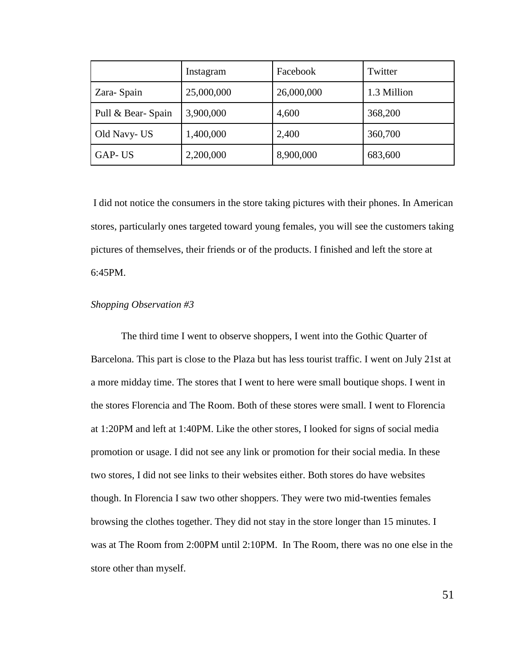|                   | Instagram  | Facebook   | Twitter     |
|-------------------|------------|------------|-------------|
| Zara-Spain        | 25,000,000 | 26,000,000 | 1.3 Million |
| Pull & Bear-Spain | 3,900,000  | 4,600      | 368,200     |
| Old Navy-US       | 1,400,000  | 2,400      | 360,700     |
| GAP-US            | 2,200,000  | 8,900,000  | 683,600     |

I did not notice the consumers in the store taking pictures with their phones. In American stores, particularly ones targeted toward young females, you will see the customers taking pictures of themselves, their friends or of the products. I finished and left the store at 6:45PM.

#### *Shopping Observation #3*

The third time I went to observe shoppers, I went into the Gothic Quarter of Barcelona. This part is close to the Plaza but has less tourist traffic. I went on July 21st at a more midday time. The stores that I went to here were small boutique shops. I went in the stores Florencia and The Room. Both of these stores were small. I went to Florencia at 1:20PM and left at 1:40PM. Like the other stores, I looked for signs of social media promotion or usage. I did not see any link or promotion for their social media. In these two stores, I did not see links to their websites either. Both stores do have websites though. In Florencia I saw two other shoppers. They were two mid-twenties females browsing the clothes together. They did not stay in the store longer than 15 minutes. I was at The Room from 2:00PM until 2:10PM. In The Room, there was no one else in the store other than myself.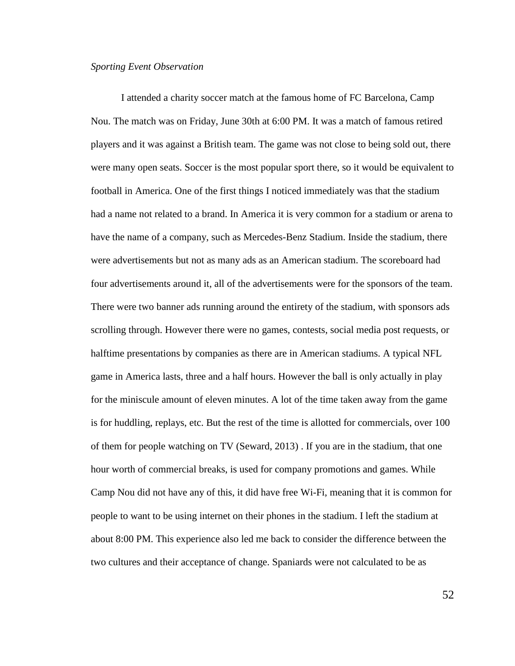#### *Sporting Event Observation*

I attended a charity soccer match at the famous home of FC Barcelona, Camp Nou. The match was on Friday, June 30th at 6:00 PM. It was a match of famous retired players and it was against a British team. The game was not close to being sold out, there were many open seats. Soccer is the most popular sport there, so it would be equivalent to football in America. One of the first things I noticed immediately was that the stadium had a name not related to a brand. In America it is very common for a stadium or arena to have the name of a company, such as Mercedes-Benz Stadium. Inside the stadium, there were advertisements but not as many ads as an American stadium. The scoreboard had four advertisements around it, all of the advertisements were for the sponsors of the team. There were two banner ads running around the entirety of the stadium, with sponsors ads scrolling through. However there were no games, contests, social media post requests, or halftime presentations by companies as there are in American stadiums. A typical NFL game in America lasts, three and a half hours. However the ball is only actually in play for the miniscule amount of eleven minutes. A lot of the time taken away from the game is for huddling, replays, etc. But the rest of the time is allotted for commercials, over 100 of them for people watching on TV (Seward, 2013) . If you are in the stadium, that one hour worth of commercial breaks, is used for company promotions and games. While Camp Nou did not have any of this, it did have free Wi-Fi, meaning that it is common for people to want to be using internet on their phones in the stadium. I left the stadium at about 8:00 PM. This experience also led me back to consider the difference between the two cultures and their acceptance of change. Spaniards were not calculated to be as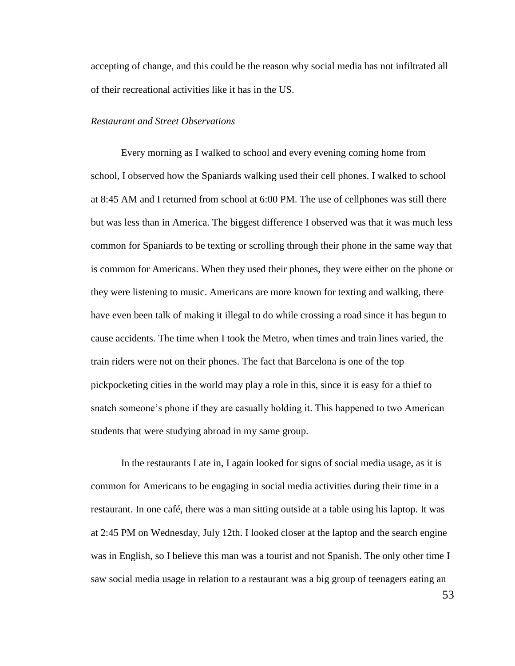accepting of change, and this could be the reason why social media has not infiltrated all of their recreational activities like it has in the US.

#### *Restaurant and Street Observations*

Every morning as I walked to school and every evening coming home from school, I observed how the Spaniards walking used their cell phones. I walked to school at 8:45 AM and I returned from school at 6:00 PM. The use of cellphones was still there but was less than in America. The biggest difference I observed was that it was much less common for Spaniards to be texting or scrolling through their phone in the same way that is common for Americans. When they used their phones, they were either on the phone or they were listening to music. Americans are more known for texting and walking, there have even been talk of making it illegal to do while crossing a road since it has begun to cause accidents. The time when I took the Metro, when times and train lines varied, the train riders were not on their phones. The fact that Barcelona is one of the top pickpocketing cities in the world may play a role in this, since it is easy for a thief to snatch someone's phone if they are casually holding it. This happened to two American students that were studying abroad in my same group.

In the restaurants I ate in, I again looked for signs of social media usage, as it is common for Americans to be engaging in social media activities during their time in a restaurant. In one café, there was a man sitting outside at a table using his laptop. It was at 2:45 PM on Wednesday, July 12th. I looked closer at the laptop and the search engine was in English, so I believe this man was a tourist and not Spanish. The only other time I saw social media usage in relation to a restaurant was a big group of teenagers eating an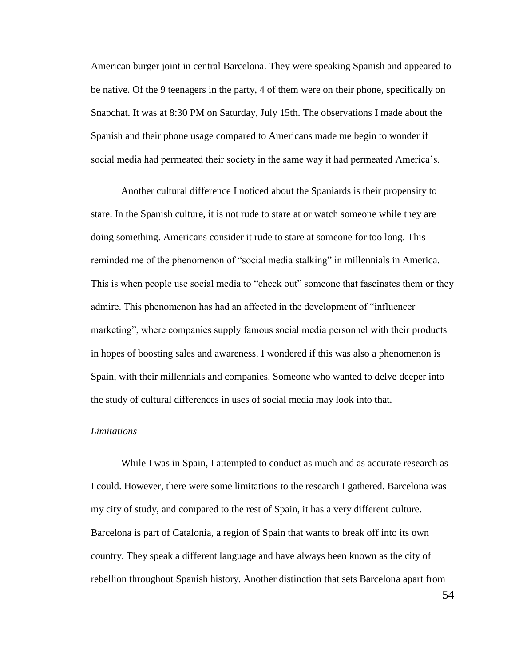American burger joint in central Barcelona. They were speaking Spanish and appeared to be native. Of the 9 teenagers in the party, 4 of them were on their phone, specifically on Snapchat. It was at 8:30 PM on Saturday, July 15th. The observations I made about the Spanish and their phone usage compared to Americans made me begin to wonder if social media had permeated their society in the same way it had permeated America's.

Another cultural difference I noticed about the Spaniards is their propensity to stare. In the Spanish culture, it is not rude to stare at or watch someone while they are doing something. Americans consider it rude to stare at someone for too long. This reminded me of the phenomenon of "social media stalking" in millennials in America. This is when people use social media to "check out" someone that fascinates them or they admire. This phenomenon has had an affected in the development of "influencer marketing", where companies supply famous social media personnel with their products in hopes of boosting sales and awareness. I wondered if this was also a phenomenon is Spain, with their millennials and companies. Someone who wanted to delve deeper into the study of cultural differences in uses of social media may look into that.

#### *Limitations*

While I was in Spain, I attempted to conduct as much and as accurate research as I could. However, there were some limitations to the research I gathered. Barcelona was my city of study, and compared to the rest of Spain, it has a very different culture. Barcelona is part of Catalonia, a region of Spain that wants to break off into its own country. They speak a different language and have always been known as the city of rebellion throughout Spanish history. Another distinction that sets Barcelona apart from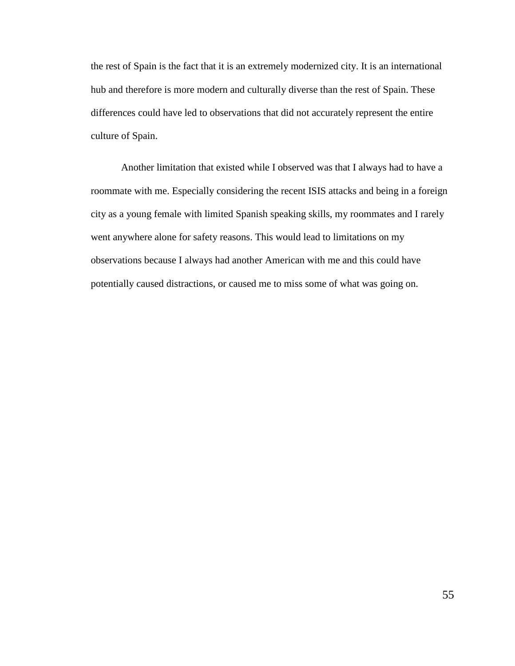the rest of Spain is the fact that it is an extremely modernized city. It is an international hub and therefore is more modern and culturally diverse than the rest of Spain. These differences could have led to observations that did not accurately represent the entire culture of Spain.

Another limitation that existed while I observed was that I always had to have a roommate with me. Especially considering the recent ISIS attacks and being in a foreign city as a young female with limited Spanish speaking skills, my roommates and I rarely went anywhere alone for safety reasons. This would lead to limitations on my observations because I always had another American with me and this could have potentially caused distractions, or caused me to miss some of what was going on.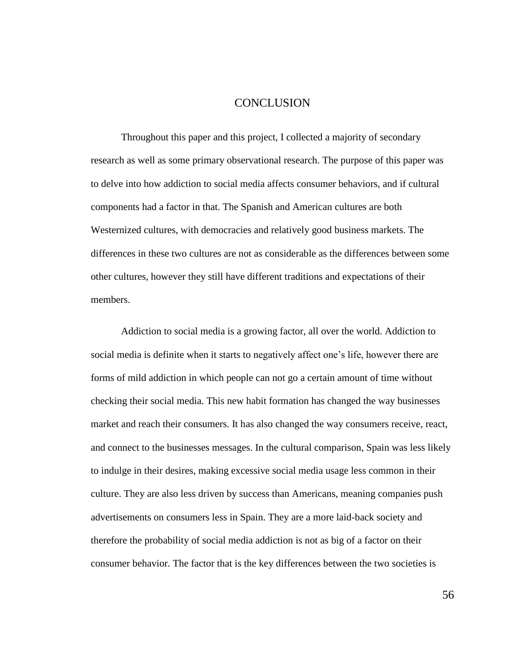## **CONCLUSION**

Throughout this paper and this project, I collected a majority of secondary research as well as some primary observational research. The purpose of this paper was to delve into how addiction to social media affects consumer behaviors, and if cultural components had a factor in that. The Spanish and American cultures are both Westernized cultures, with democracies and relatively good business markets. The differences in these two cultures are not as considerable as the differences between some other cultures, however they still have different traditions and expectations of their members.

Addiction to social media is a growing factor, all over the world. Addiction to social media is definite when it starts to negatively affect one's life, however there are forms of mild addiction in which people can not go a certain amount of time without checking their social media. This new habit formation has changed the way businesses market and reach their consumers. It has also changed the way consumers receive, react, and connect to the businesses messages. In the cultural comparison, Spain was less likely to indulge in their desires, making excessive social media usage less common in their culture. They are also less driven by success than Americans, meaning companies push advertisements on consumers less in Spain. They are a more laid-back society and therefore the probability of social media addiction is not as big of a factor on their consumer behavior. The factor that is the key differences between the two societies is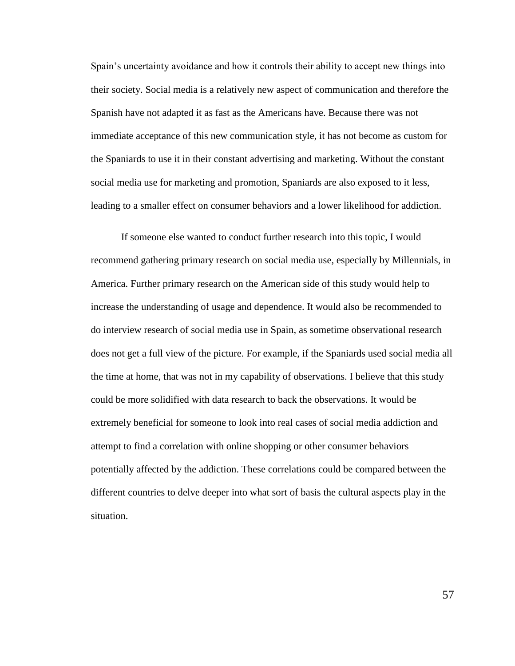Spain's uncertainty avoidance and how it controls their ability to accept new things into their society. Social media is a relatively new aspect of communication and therefore the Spanish have not adapted it as fast as the Americans have. Because there was not immediate acceptance of this new communication style, it has not become as custom for the Spaniards to use it in their constant advertising and marketing. Without the constant social media use for marketing and promotion, Spaniards are also exposed to it less, leading to a smaller effect on consumer behaviors and a lower likelihood for addiction.

If someone else wanted to conduct further research into this topic, I would recommend gathering primary research on social media use, especially by Millennials, in America. Further primary research on the American side of this study would help to increase the understanding of usage and dependence. It would also be recommended to do interview research of social media use in Spain, as sometime observational research does not get a full view of the picture. For example, if the Spaniards used social media all the time at home, that was not in my capability of observations. I believe that this study could be more solidified with data research to back the observations. It would be extremely beneficial for someone to look into real cases of social media addiction and attempt to find a correlation with online shopping or other consumer behaviors potentially affected by the addiction. These correlations could be compared between the different countries to delve deeper into what sort of basis the cultural aspects play in the situation.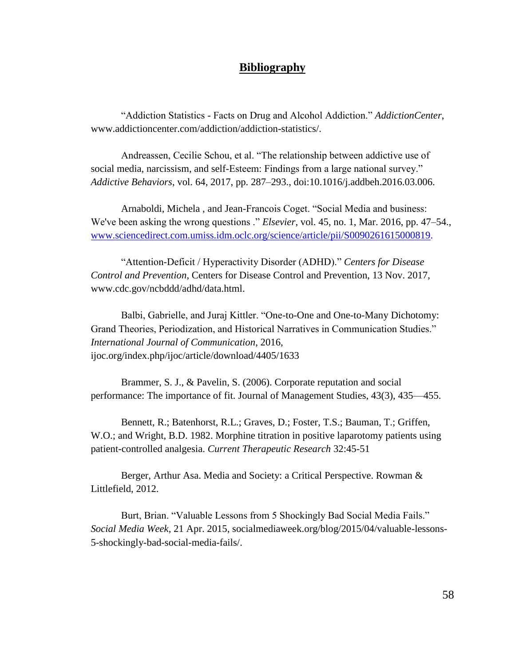## **Bibliography**

"Addiction Statistics - Facts on Drug and Alcohol Addiction." *AddictionCenter*, www.addictioncenter.com/addiction/addiction-statistics/.

Andreassen, Cecilie Schou, et al. "The relationship between addictive use of social media, narcissism, and self-Esteem: Findings from a large national survey." *Addictive Behaviors*, vol. 64, 2017, pp. 287–293., doi:10.1016/j.addbeh.2016.03.006.

Arnaboldi, Michela , and Jean-Francois Coget. "Social Media and business: We've been asking the wrong questions ." *Elsevier*, vol. 45, no. 1, Mar. 2016, pp. 47–54., [www.sciencedirect.com.umiss.idm.oclc.org/science/article/pii/S0090261615000819.](http://www.sciencedirect.com.umiss.idm.oclc.org/science/article/pii/S0090261615000819)

"Attention-Deficit / Hyperactivity Disorder (ADHD)." *Centers for Disease Control and Prevention*, Centers for Disease Control and Prevention, 13 Nov. 2017, www.cdc.gov/ncbddd/adhd/data.html.

Balbi, Gabrielle, and Juraj Kittler. "One-to-One and One-to-Many Dichotomy: Grand Theories, Periodization, and Historical Narratives in Communication Studies." *International Journal of Communication*, 2016, ijoc.org/index.php/ijoc/article/download/4405/1633

Brammer, S. J., & Pavelin, S. (2006). Corporate reputation and social performance: The importance of fit. Journal of Management Studies, 43(3), 435—455.

Bennett, R.; Batenhorst, R.L.; Graves, D.; Foster, T.S.; Bauman, T.; Griffen, W.O.; and Wright, B.D. 1982. Morphine titration in positive laparotomy patients using patient-controlled analgesia. *Current Therapeutic Research* 32:45-51

Berger, Arthur Asa. Media and Society: a Critical Perspective. Rowman & Littlefield, 2012.

Burt, Brian. "Valuable Lessons from 5 Shockingly Bad Social Media Fails." *Social Media Week*, 21 Apr. 2015, socialmediaweek.org/blog/2015/04/valuable-lessons-5-shockingly-bad-social-media-fails/.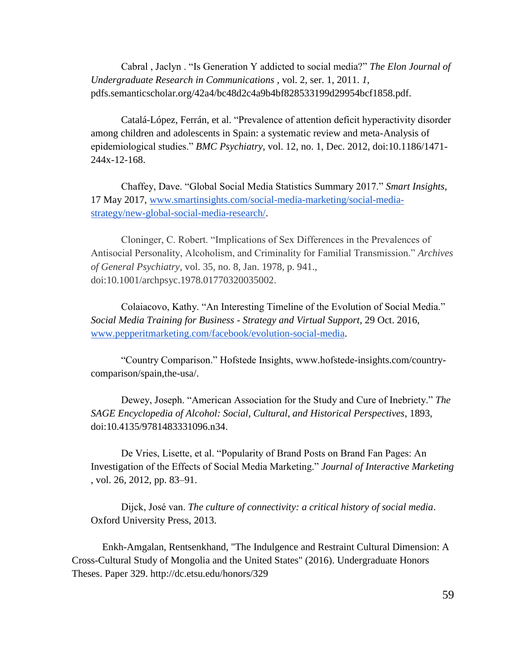Cabral , Jaclyn . "Is Generation Y addicted to social media?" *The Elon Journal of Undergraduate Research in Communications* , vol. 2, ser. 1, 2011. *1*, pdfs.semanticscholar.org/42a4/bc48d2c4a9b4bf828533199d29954bcf1858.pdf.

Catalá-López, Ferrán, et al. "Prevalence of attention deficit hyperactivity disorder among children and adolescents in Spain: a systematic review and meta-Analysis of epidemiological studies." *BMC Psychiatry*, vol. 12, no. 1, Dec. 2012, doi:10.1186/1471- 244x-12-168.

Chaffey, Dave. "Global Social Media Statistics Summary 2017." *Smart Insights*, 17 May 2017, [www.smartinsights.com/social-media-marketing/social-media](http://www.smartinsights.com/social-media-marketing/social-media-strategy/new-global-social-media-research/)[strategy/new-global-social-media-research/.](http://www.smartinsights.com/social-media-marketing/social-media-strategy/new-global-social-media-research/)

Cloninger, C. Robert. "Implications of Sex Differences in the Prevalences of Antisocial Personality, Alcoholism, and Criminality for Familial Transmission." *Archives of General Psychiatry*, vol. 35, no. 8, Jan. 1978, p. 941., doi:10.1001/archpsyc.1978.01770320035002.

Colaiacovo, Kathy. "An Interesting Timeline of the Evolution of Social Media." *Social Media Training for Business - Strategy and Virtual Support*, 29 Oct. 2016, [www.pepperitmarketing.com/facebook/evolution-social-media.](http://www.pepperitmarketing.com/facebook/evolution-social-media)

"Country Comparison." Hofstede Insights, www.hofstede-insights.com/countrycomparison/spain,the-usa/.

Dewey, Joseph. "American Association for the Study and Cure of Inebriety." *The SAGE Encyclopedia of Alcohol: Social, Cultural, and Historical Perspectives*, 1893, doi:10.4135/9781483331096.n34.

De Vries, Lisette, et al. "Popularity of Brand Posts on Brand Fan Pages: An Investigation of the Effects of Social Media Marketing." *Journal of Interactive Marketing*  , vol. 26, 2012, pp. 83–91.

Dijck, José van. *The culture of connectivity: a critical history of social media*. Oxford University Press, 2013.

Enkh-Amgalan, Rentsenkhand, "The Indulgence and Restraint Cultural Dimension: A Cross-Cultural Study of Mongolia and the United States" (2016). Undergraduate Honors Theses. Paper 329. http://dc.etsu.edu/honors/329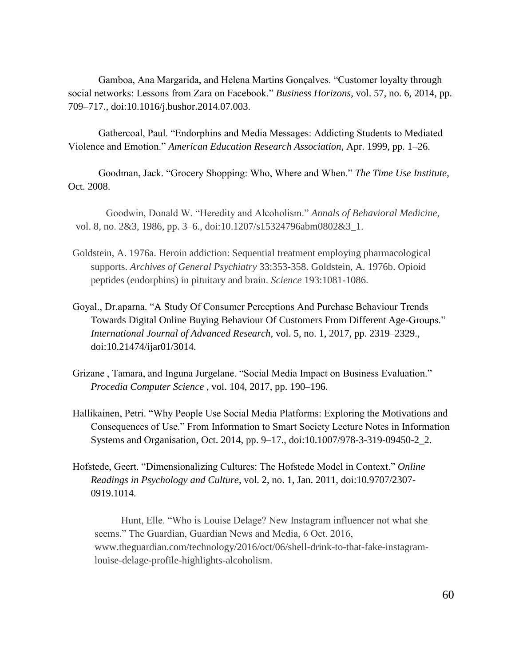Gamboa, Ana Margarida, and Helena Martins Gonçalves. "Customer loyalty through social networks: Lessons from Zara on Facebook." *Business Horizons*, vol. 57, no. 6, 2014, pp. 709–717., doi:10.1016/j.bushor.2014.07.003.

Gathercoal, Paul. "Endorphins and Media Messages: Addicting Students to Mediated Violence and Emotion." *American Education Research Association*, Apr. 1999, pp. 1–26.

Goodman, Jack. "Grocery Shopping: Who, Where and When." *The Time Use Institute*, Oct. 2008.

Goodwin, Donald W. "Heredity and Alcoholism." *Annals of Behavioral Medicine*, vol. 8, no. 2&3, 1986, pp. 3–6., doi:10.1207/s15324796abm0802&3\_1.

- Goldstein, A. 1976a. Heroin addiction: Sequential treatment employing pharmacological supports. *Archives of General Psychiatry* 33:353-358. Goldstein, A. 1976b. Opioid peptides (endorphins) in pituitary and brain. *Science* 193:1081-1086.
- Goyal., Dr.aparna. "A Study Of Consumer Perceptions And Purchase Behaviour Trends Towards Digital Online Buying Behaviour Of Customers From Different Age-Groups." *International Journal of Advanced Research*, vol. 5, no. 1, 2017, pp. 2319–2329., doi:10.21474/ijar01/3014.
- Grizane , Tamara, and Inguna Jurgelane. "Social Media Impact on Business Evaluation." *Procedia Computer Science* , vol. 104, 2017, pp. 190–196.
- Hallikainen, Petri. "Why People Use Social Media Platforms: Exploring the Motivations and Consequences of Use." From Information to Smart Society Lecture Notes in Information Systems and Organisation, Oct. 2014, pp. 9–17., doi:10.1007/978-3-319-09450-2\_2.
- Hofstede, Geert. "Dimensionalizing Cultures: The Hofstede Model in Context." *Online Readings in Psychology and Culture*, vol. 2, no. 1, Jan. 2011, doi:10.9707/2307- 0919.1014.

Hunt, Elle. "Who is Louise Delage? New Instagram influencer not what she seems." The Guardian, Guardian News and Media, 6 Oct. 2016, www.theguardian.com/technology/2016/oct/06/shell-drink-to-that-fake-instagramlouise-delage-profile-highlights-alcoholism.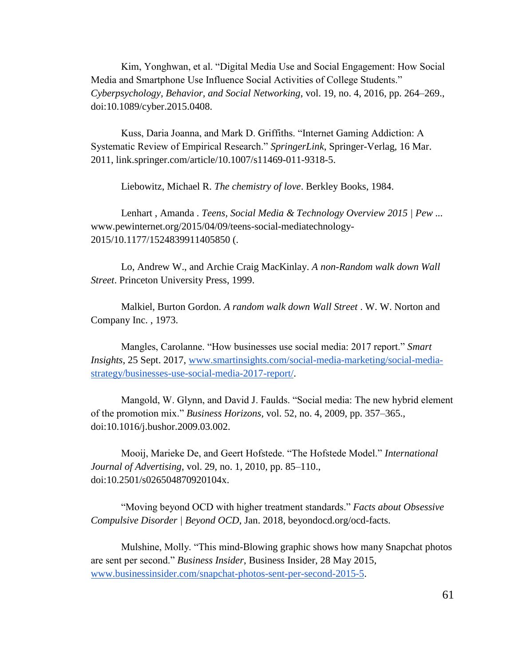Kim, Yonghwan, et al. "Digital Media Use and Social Engagement: How Social Media and Smartphone Use Influence Social Activities of College Students." *Cyberpsychology, Behavior, and Social Networking*, vol. 19, no. 4, 2016, pp. 264–269., doi:10.1089/cyber.2015.0408.

Kuss, Daria Joanna, and Mark D. Griffiths. "Internet Gaming Addiction: A Systematic Review of Empirical Research." *SpringerLink*, Springer-Verlag, 16 Mar. 2011, link.springer.com/article/10.1007/s11469-011-9318-5.

Liebowitz, Michael R. *The chemistry of love*. Berkley Books, 1984.

Lenhart , Amanda . *Teens, Social Media & Technology Overview 2015 | Pew ...* www.pewinternet.org/2015/04/09/teens-social-mediatechnology-2015/10.1177/1524839911405850 (.

Lo, Andrew W., and Archie Craig MacKinlay. *A non-Random walk down Wall Street*. Princeton University Press, 1999.

Malkiel, Burton Gordon. *A random walk down Wall Street* . W. W. Norton and Company Inc. , 1973.

Mangles, Carolanne. "How businesses use social media: 2017 report." *Smart Insights*, 25 Sept. 2017, [www.smartinsights.com/social-media-marketing/social-media](http://www.smartinsights.com/social-media-marketing/social-media-strategy/businesses-use-social-media-2017-report/)[strategy/businesses-use-social-media-2017-report/.](http://www.smartinsights.com/social-media-marketing/social-media-strategy/businesses-use-social-media-2017-report/)

Mangold, W. Glynn, and David J. Faulds. "Social media: The new hybrid element of the promotion mix." *Business Horizons*, vol. 52, no. 4, 2009, pp. 357–365., doi:10.1016/j.bushor.2009.03.002.

Mooij, Marieke De, and Geert Hofstede. "The Hofstede Model." *International Journal of Advertising*, vol. 29, no. 1, 2010, pp. 85–110., doi:10.2501/s026504870920104x.

"Moving beyond OCD with higher treatment standards." *Facts about Obsessive Compulsive Disorder | Beyond OCD*, Jan. 2018, beyondocd.org/ocd-facts.

Mulshine, Molly. "This mind-Blowing graphic shows how many Snapchat photos are sent per second." *Business Insider*, Business Insider, 28 May 2015, [www.businessinsider.com/snapchat-photos-sent-per-second-2015-5.](http://www.businessinsider.com/snapchat-photos-sent-per-second-2015-5)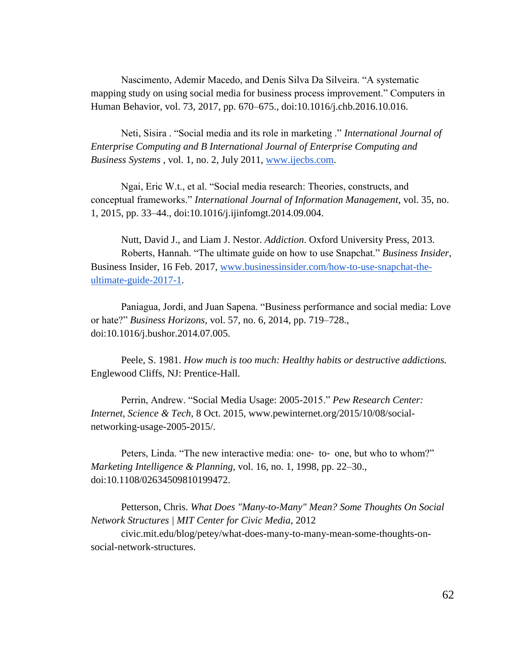Nascimento, Ademir Macedo, and Denis Silva Da Silveira. "A systematic mapping study on using social media for business process improvement." Computers in Human Behavior, vol. 73, 2017, pp. 670–675., doi:10.1016/j.chb.2016.10.016.

Neti, Sisira . "Social media and its role in marketing ." *International Journal of Enterprise Computing and B International Journal of Enterprise Computing and Business Systems* , vol. 1, no. 2, July 2011, [www.ijecbs.com.](http://www.ijecbs.com/)

Ngai, Eric W.t., et al. "Social media research: Theories, constructs, and conceptual frameworks." *International Journal of Information Management*, vol. 35, no. 1, 2015, pp. 33–44., doi:10.1016/j.ijinfomgt.2014.09.004.

Nutt, David J., and Liam J. Nestor. *Addiction*. Oxford University Press, 2013. Roberts, Hannah. "The ultimate guide on how to use Snapchat." *Business Insider*, Business Insider, 16 Feb. 2017, [www.businessinsider.com/how-to-use-snapchat-the](http://www.businessinsider.com/how-to-use-snapchat-the-ultimate-guide-2017-1)[ultimate-guide-2017-1.](http://www.businessinsider.com/how-to-use-snapchat-the-ultimate-guide-2017-1)

Paniagua, Jordi, and Juan Sapena. "Business performance and social media: Love or hate?" *Business Horizons*, vol. 57, no. 6, 2014, pp. 719–728., doi:10.1016/j.bushor.2014.07.005.

Peele, S. 1981. *How much is too much: Healthy habits or destructive addictions.* Englewood Cliffs, NJ: Prentice-Hall.

Perrin, Andrew. "Social Media Usage: 2005-2015." *Pew Research Center: Internet, Science & Tech*, 8 Oct. 2015, www.pewinternet.org/2015/10/08/socialnetworking-usage-2005-2015/.

Peters, Linda. "The new interactive media: one- to- one, but who to whom?" *Marketing Intelligence & Planning*, vol. 16, no. 1, 1998, pp. 22–30., doi:10.1108/02634509810199472.

Petterson, Chris. *What Does "Many-to-Many" Mean? Some Thoughts On Social Network Structures | MIT Center for Civic Media*, 2012

civic.mit.edu/blog/petey/what-does-many-to-many-mean-some-thoughts-onsocial-network-structures.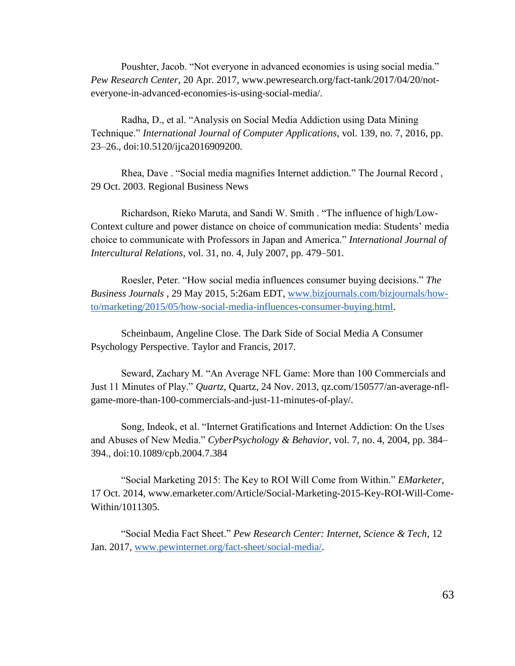Poushter, Jacob. "Not everyone in advanced economies is using social media." *Pew Research Center*, 20 Apr. 2017, www.pewresearch.org/fact-tank/2017/04/20/noteveryone-in-advanced-economies-is-using-social-media/.

Radha, D., et al. "Analysis on Social Media Addiction using Data Mining Technique." *International Journal of Computer Applications*, vol. 139, no. 7, 2016, pp. 23–26., doi:10.5120/ijca2016909200.

Rhea, Dave . "Social media magnifies Internet addiction." The Journal Record , 29 Oct. 2003. Regional Business News

Richardson, Rieko Maruta, and Sandi W. Smith . "The influence of high/Low-Context culture and power distance on choice of communication media: Students' media choice to communicate with Professors in Japan and America." *International Journal of Intercultural Relations*, vol. 31, no. 4, July 2007, pp. 479–501.

Roesler, Peter. "How social media influences consumer buying decisions." *The Business Journals* , 29 May 2015, 5:26am EDT, [www.bizjournals.com/bizjournals/how](http://www.bizjournals.com/bizjournals/how-to/marketing/2015/05/how-social-media-influences-consumer-buying.html)[to/marketing/2015/05/how-social-media-influences-consumer-buying.html.](http://www.bizjournals.com/bizjournals/how-to/marketing/2015/05/how-social-media-influences-consumer-buying.html)

Scheinbaum, Angeline Close. The Dark Side of Social Media A Consumer Psychology Perspective. Taylor and Francis, 2017.

Seward, Zachary M. "An Average NFL Game: More than 100 Commercials and Just 11 Minutes of Play." *Quartz*, Quartz, 24 Nov. 2013, qz.com/150577/an-average-nflgame-more-than-100-commercials-and-just-11-minutes-of-play/.

Song, Indeok, et al. "Internet Gratifications and Internet Addiction: On the Uses and Abuses of New Media." *CyberPsychology & Behavior*, vol. 7, no. 4, 2004, pp. 384– 394., doi:10.1089/cpb.2004.7.384

"Social Marketing 2015: The Key to ROI Will Come from Within." *EMarketer*, 17 Oct. 2014, www.emarketer.com/Article/Social-Marketing-2015-Key-ROI-Will-Come-Within/1011305.

"Social Media Fact Sheet." *Pew Research Center: Internet, Science & Tech*, 12 Jan. 2017, [www.pewinternet.org/fact-sheet/social-media/.](http://www.pewinternet.org/fact-sheet/social-media/)